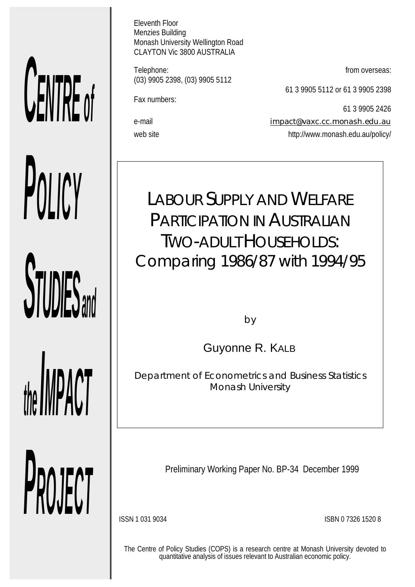# *CENTRE of POLICY*

**STUDIES** and

*the IMPACT*

*PROJECT*

Eleventh Floor Menzies Building Monash University Wellington Road CLAYTON Vic 3800 AUSTRALIA

Telephone: **from overseas: from overseas:** (03) 9905 2398, (03) 9905 5112

Fax numbers:

61 3 9905 5112 or 61 3 9905 2398

61 3 9905 2426

e-mail impact@vaxc.cc.monash.edu.au web site http://www.monash.edu.au/policy/

*LABOUR SUPPLY AND WELFARE PARTICIPATION IN AUSTRALIAN TWO-ADULT HOUSEHOLDS: Comparing 1986/87 with 1994/95*

by

Guyonne R. KALB

*Department of Econometrics and Business Statistics Monash University*

Preliminary Working Paper No. BP-34 December 1999

ISSN 1 031 9034 ISBN 0 7326 1520 8

The Centre of Policy Studies (COPS) is a research centre at Monash University devoted to quantitative analysis of issues relevant to Australian economic policy.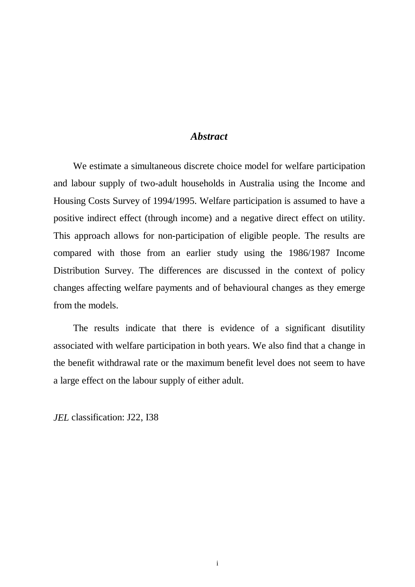# *Abstract*

We estimate a simultaneous discrete choice model for welfare participation and labour supply of two-adult households in Australia using the Income and Housing Costs Survey of 1994/1995. Welfare participation is assumed to have a positive indirect effect (through income) and a negative direct effect on utility. This approach allows for non-participation of eligible people. The results are compared with those from an earlier study using the 1986/1987 Income Distribution Survey. The differences are discussed in the context of policy changes affecting welfare payments and of behavioural changes as they emerge from the models.

The results indicate that there is evidence of a significant disutility associated with welfare participation in both years. We also find that a change in the benefit withdrawal rate or the maximum benefit level does not seem to have a large effect on the labour supply of either adult.

*JEL* classification: J22, I38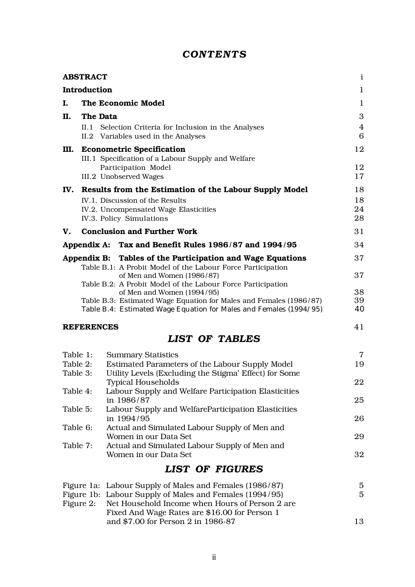# *CONTENTS*

|           | <b>ABSTRACT</b>   |                                                                                                                                          | $\mathbf{i}$   |
|-----------|-------------------|------------------------------------------------------------------------------------------------------------------------------------------|----------------|
|           | Introduction      |                                                                                                                                          | $\mathbf{1}$   |
| Ι.        |                   | The Economic Model                                                                                                                       | 1              |
| П.        | The Data          |                                                                                                                                          | 3              |
|           |                   | II.1 Selection Criteria for Inclusion in the Analyses                                                                                    | $\overline{4}$ |
|           |                   | II.2 Variables used in the Analyses                                                                                                      | 6              |
| Ш.        |                   | <b>Econometric Specification</b>                                                                                                         | 12             |
|           |                   | III.1 Specification of a Labour Supply and Welfare<br>Participation Model                                                                | 12             |
|           |                   | III.2 Unobserved Wages                                                                                                                   | 17             |
|           |                   | IV. Results from the Estimation of the Labour Supply Model                                                                               | 18             |
|           |                   | IV.1. Discussion of the Results                                                                                                          | 18             |
|           |                   | IV.2. Uncompensated Wage Elasticities                                                                                                    | 24             |
|           |                   | IV.3. Policy Simulations                                                                                                                 | 28             |
| V.        |                   | <b>Conclusion and Further Work</b>                                                                                                       | 31             |
|           |                   | Appendix A: Tax and Benefit Rules 1986/87 and 1994/95                                                                                    | 34             |
|           |                   | Appendix B: Tables of the Participation and Wage Equations                                                                               | 37             |
|           |                   | Table B.1: A Probit Model of the Labour Force Participation<br>of Men and Women (1986/87)                                                | 37             |
|           |                   | Table B.2: A Probit Model of the Labour Force Participation                                                                              |                |
|           |                   | of Men and Women (1994/95)                                                                                                               | 38             |
|           |                   | Table B.3: Estimated Wage Equation for Males and Females (1986/87)<br>Table B.4: Estimated Wage Equation for Males and Females (1994/95) | 39<br>40       |
|           |                   |                                                                                                                                          |                |
|           | <b>REFERENCES</b> |                                                                                                                                          | 41             |
|           |                   | <b>LIST OF TABLES</b>                                                                                                                    |                |
| Table 1:  |                   | <b>Summary Statistics</b>                                                                                                                | $\overline{7}$ |
| Table 2:  |                   | Estimated Parameters of the Labour Supply Model                                                                                          | 19             |
| Table 3:  |                   | Utility Levels (Excluding the Stigma' Effect) for Some                                                                                   |                |
| Table 4:  |                   | <b>Typical Households</b><br>Labour Supply and Welfare Participation Elasticities                                                        | 22             |
|           |                   | in 1986/87                                                                                                                               | 25             |
| Table 5:  |                   | Labour Supply and WelfareParticipation Elasticities                                                                                      |                |
|           |                   | in 1994/95                                                                                                                               | 26             |
| Table 6:  |                   | Actual and Simulated Labour Supply of Men and<br>Women in our Data Set                                                                   | 29             |
| Table 7:  |                   | Actual and Simulated Labour Supply of Men and                                                                                            |                |
|           |                   | Women in our Data Set                                                                                                                    | 32             |
|           |                   | <b>LIST OF FIGURES</b>                                                                                                                   |                |
|           |                   | Figure 1a: Labour Supply of Males and Females (1986/87)                                                                                  | 5              |
|           |                   | Figure 1b: Labour Supply of Males and Females (1994/95)                                                                                  | $\overline{5}$ |
| Figure 2: |                   | Net Household Income when Hours of Person 2 are                                                                                          |                |
|           |                   | Fixed And Wage Rates are \$16.00 for Person 1<br>and \$7.00 for Person 2 in 1986-87                                                      | 13             |
|           |                   |                                                                                                                                          |                |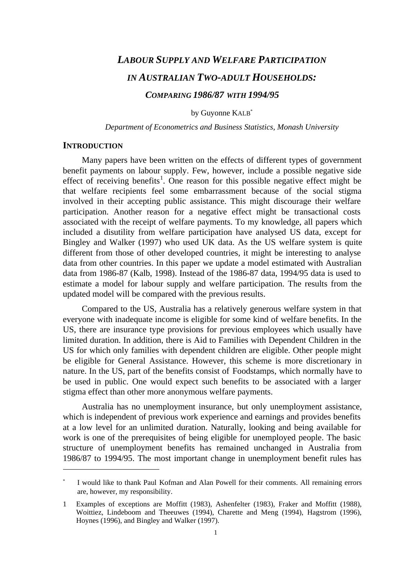# *LABOUR SUPPLY AND WELFARE PARTICIPATION IN AUSTRALIAN TWO-ADULT HOUSEHOLDS: COMPARING 1986/87 WITH 1994/95*

by Guyonne KALB\*

*Department of Econometrics and Business Statistics, Monash University*

### **INTRODUCTION**

Many papers have been written on the effects of different types of government benefit payments on labour supply. Few, however, include a possible negative side effect of receiving benefits<sup>1</sup>. One reason for this possible negative effect might be that welfare recipients feel some embarrassment because of the social stigma involved in their accepting public assistance. This might discourage their welfare participation. Another reason for a negative effect might be transactional costs associated with the receipt of welfare payments. To my knowledge, all papers which included a disutility from welfare participation have analysed US data, except for Bingley and Walker (1997) who used UK data. As the US welfare system is quite different from those of other developed countries, it might be interesting to analyse data from other countries. In this paper we update a model estimated with Australian data from 1986-87 (Kalb, 1998). Instead of the 1986-87 data, 1994/95 data is used to estimate a model for labour supply and welfare participation. The results from the updated model will be compared with the previous results.

Compared to the US, Australia has a relatively generous welfare system in that everyone with inadequate income is eligible for some kind of welfare benefits. In the US, there are insurance type provisions for previous employees which usually have limited duration. In addition, there is Aid to Families with Dependent Children in the US for which only families with dependent children are eligible. Other people might be eligible for General Assistance. However, this scheme is more discretionary in nature. In the US, part of the benefits consist of Foodstamps, which normally have to be used in public. One would expect such benefits to be associated with a larger stigma effect than other more anonymous welfare payments.

Australia has no unemployment insurance, but only unemployment assistance, which is independent of previous work experience and earnings and provides benefits at a low level for an unlimited duration. Naturally, looking and being available for work is one of the prerequisites of being eligible for unemployed people. The basic structure of unemployment benefits has remained unchanged in Australia from 1986/87 to 1994/95. The most important change in unemployment benefit rules has

I would like to thank Paul Kofman and Alan Powell for their comments. All remaining errors are, however, my responsibility.

<sup>1</sup> Examples of exceptions are Moffitt (1983), Ashenfelter (1983), Fraker and Moffitt (1988), Woittiez, Lindeboom and Theeuwes (1994), Charette and Meng (1994), Hagstrom (1996), Hoynes (1996), and Bingley and Walker (1997).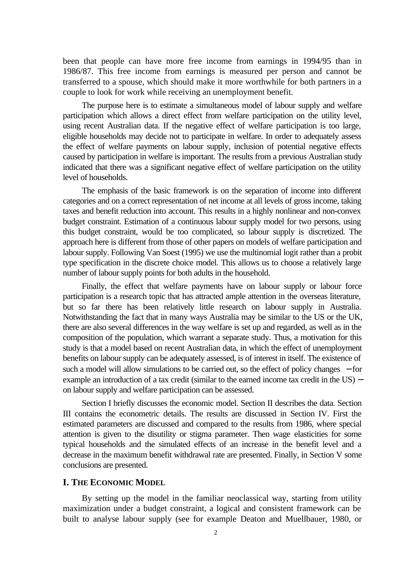been that people can have more free income from earnings in 1994/95 than in 1986/87. This free income from earnings is measured per person and cannot be transferred to a spouse, which should make it more worthwhile for both partners in a couple to look for work while receiving an unemployment benefit.

The purpose here is to estimate a simultaneous model of labour supply and welfare participation which allows a direct effect from welfare participation on the utility level, using recent Australian data. If the negative effect of welfare participation is too large, eligible households may decide not to participate in welfare. In order to adequately assess the effect of welfare payments on labour supply, inclusion of potential negative effects caused by participation in welfare is important. The results from a previous Australian study indicated that there was a significant negative effect of welfare participation on the utility level of households.

The emphasis of the basic framework is on the separation of income into different categories and on a correct representation of net income at all levels of gross income, taking taxes and benefit reduction into account. This results in a highly nonlinear and non-convex budget constraint. Estimation of a continuous labour supply model for two persons, using this budget constraint, would be too complicated, so labour supply is discretized. The approach here is different from those of other papers on models of welfare participation and labour supply. Following Van Soest (1995) we use the multinomial logit rather than a probit type specification in the discrete choice model. This allows us to choose a relatively large number of labour supply points for both adults in the household.

Finally, the effect that welfare payments have on labour supply or labour force participation is a research topic that has attracted ample attention in the overseas literature, but so far there has been relatively little research on labour supply in Australia. Notwithstanding the fact that in many ways Australia may be similar to the US or the UK, there are also several differences in the way welfare is set up and regarded, as well as in the composition of the population, which warrant a separate study. Thus, a motivation for this study is that a model based on recent Australian data, in which the effect of unemployment benefits on labour supply can be adequately assessed, is of interest in itself. The existence of such a model will allow simulations to be carried out, so the effect of policy changes – for example an introduction of a tax credit (similar to the earned income tax credit in the US) – on labour supply and welfare participation can be assessed.

Section I briefly discusses the economic model. Section II describes the data. Section III contains the econometric details. The results are discussed in Section IV. First the estimated parameters are discussed and compared to the results from 1986, where special attention is given to the disutility or stigma parameter. Then wage elasticities for some typical households and the simulated effects of an increase in the benefit level and a decrease in the maximum benefit withdrawal rate are presented. Finally, in Section V some conclusions are presented.

### **I. THE ECONOMIC MODEL**

By setting up the model in the familiar neoclassical way, starting from utility maximization under a budget constraint, a logical and consistent framework can be built to analyse labour supply (see for example Deaton and Muellbauer, 1980, or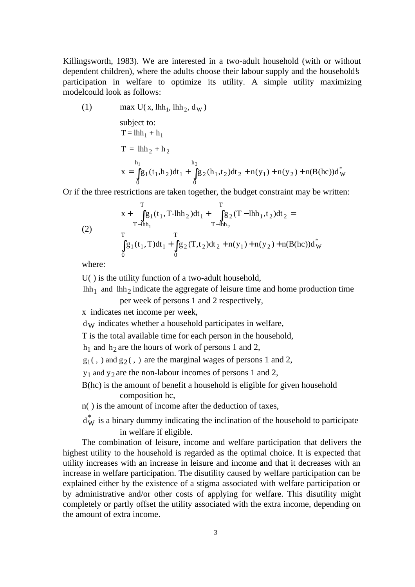Killingsworth, 1983). We are interested in a two-adult household (with or without dependent children), where the adults choose their labour supply and the household's participation in welfare to optimize its utility. A simple utility maximizing modelcould look as follows:

(1) 
$$
\max U(x, \text{lhh}_1, \text{lhh}_2, d_W)
$$
  
\nsubject to:  
\n $T = \text{lhh}_1 + h_1$   
\n $T = \text{lhh}_2 + h_2$   
\n $x = \int_0^{h_1} g_1(t_1, h_2) dt_1 + \int_0^{h_2} g_2(h_1, t_2) dt_2 + n(y_1) + n(y_2) + n(B(hc))d_W^*$ 

Or if the three restrictions are taken together, the budget constraint may be written:

(2)  
\n
$$
x + \int_{T-\text{lhh}_1}^{T} g_1(t_1, T-\text{lhh}_2) dt_1 + \int_{T-\text{lhh}_2}^{T} g_2(T-\text{lhh}_1, t_2) dt_2 =
$$
\n
$$
\int_{0}^{T} g_1(t_1, T) dt_1 + \int_{0}^{T} g_2(T, t_2) dt_2 + n(y_1) + n(y_2) + n(B(\text{hc})) d^*_{W}
$$

where:

U( ) is the utility function of a two-adult household,

lhh<sub>1</sub> and lhh<sub>2</sub> indicate the aggregate of leisure time and home production time per week of persons 1 and 2 respectively,

x indicates net income per week,

 $d_{\rm W}$  indicates whether a household participates in welfare,

T is the total available time for each person in the household,

 $h_1$  and  $h_2$  are the hours of work of persons 1 and 2,

 $g_1($ , ) and  $g_2($ , ) are the marginal wages of persons 1 and 2,

 $y_1$  and  $y_2$  are the non-labour incomes of persons 1 and 2,

B(hc) is the amount of benefit a household is eligible for given household composition hc,

n( ) is the amount of income after the deduction of taxes,

 $d^*_{\mathbf{W}}$  is a binary dummy indicating the inclination of the household to participate in welfare if eligible.

The combination of leisure, income and welfare participation that delivers the highest utility to the household is regarded as the optimal choice. It is expected that utility increases with an increase in leisure and income and that it decreases with an increase in welfare participation. The disutility caused by welfare participation can be explained either by the existence of a stigma associated with welfare participation or by administrative and/or other costs of applying for welfare. This disutility might completely or partly offset the utility associated with the extra income, depending on the amount of extra income.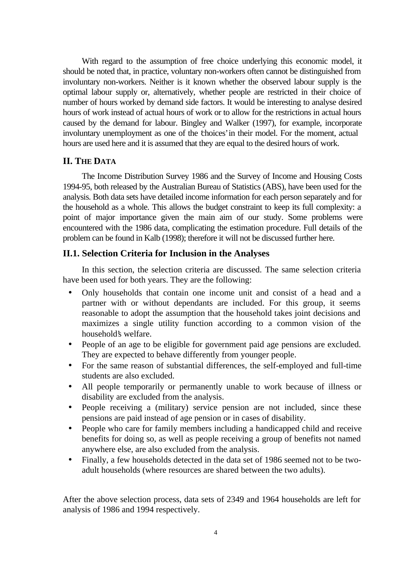With regard to the assumption of free choice underlying this economic model, it should be noted that, in practice, voluntary non-workers often cannot be distinguished from involuntary non-workers. Neither is it known whether the observed labour supply is the optimal labour supply or, alternatively, whether people are restricted in their choice of number of hours worked by demand side factors. It would be interesting to analyse desired hours of work instead of actual hours of work or to allow for the restrictions in actual hours caused by the demand for labour. Bingley and Walker (1997), for example, incorporate involuntary unemployment as one of the 'choices' in their model. For the moment, actual hours are used here and it is assumed that they are equal to the desired hours of work.

### **II. THE DATA**

The Income Distribution Survey 1986 and the Survey of Income and Housing Costs 1994-95, both released by the Australian Bureau of Statistics (ABS), have been used for the analysis. Both data sets have detailed income information for each person separately and for the household as a whole. This allows the budget constraint to keep its full complexity: a point of major importance given the main aim of our study. Some problems were encountered with the 1986 data, complicating the estimation procedure. Full details of the problem can be found in Kalb (1998); therefore it will not be discussed further here.

### **II.1. Selection Criteria for Inclusion in the Analyses**

In this section, the selection criteria are discussed. The same selection criteria have been used for both years. They are the following:

- Only households that contain one income unit and consist of a head and a partner with or without dependants are included. For this group, it seems reasonable to adopt the assumption that the household takes joint decisions and maximizes a single utility function according to a common vision of the household's welfare.
- People of an age to be eligible for government paid age pensions are excluded. They are expected to behave differently from younger people.
- For the same reason of substantial differences, the self-employed and full-time students are also excluded.
- All people temporarily or permanently unable to work because of illness or disability are excluded from the analysis.
- People receiving a (military) service pension are not included, since these pensions are paid instead of age pension or in cases of disability.
- People who care for family members including a handicapped child and receive benefits for doing so, as well as people receiving a group of benefits not named anywhere else, are also excluded from the analysis.
- Finally, a few households detected in the data set of 1986 seemed not to be twoadult households (where resources are shared between the two adults).

After the above selection process, data sets of 2349 and 1964 households are left for analysis of 1986 and 1994 respectively.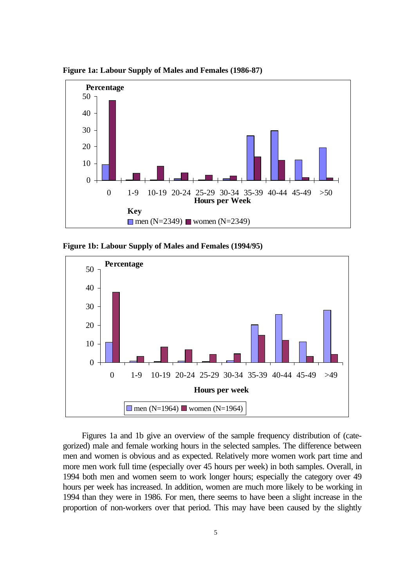

**Figure 1a: Labour Supply of Males and Females (1986-87)**

**Figure 1b: Labour Supply of Males and Females (1994/95)**



Figures 1a and 1b give an overview of the sample frequency distribution of (categorized) male and female working hours in the selected samples. The difference between men and women is obvious and as expected. Relatively more women work part time and more men work full time (especially over 45 hours per week) in both samples. Overall, in 1994 both men and women seem to work longer hours; especially the category over 49 hours per week has increased. In addition, women are much more likely to be working in 1994 than they were in 1986. For men, there seems to have been a slight increase in the proportion of non-workers over that period. This may have been caused by the slightly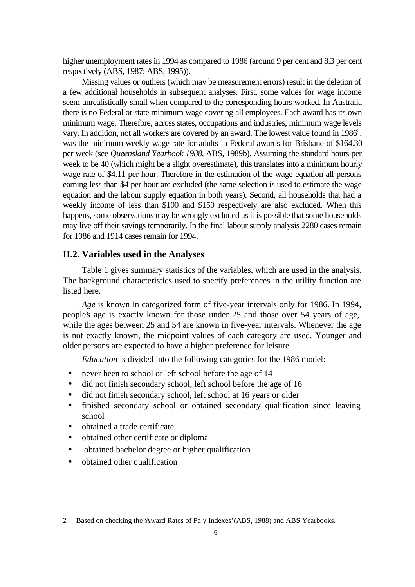higher unemployment rates in 1994 as compared to 1986 (around 9 per cent and 8.3 per cent respectively (ABS, 1987; ABS, 1995)).

Missing values or outliers (which may be measurement errors) result in the deletion of a few additional households in subsequent analyses. First, some values for wage income seem unrealistically small when compared to the corresponding hours worked. In Australia there is no Federal or state minimum wage covering all employees. Each award has its own minimum wage. Therefore, across states, occupations and industries, minimum wage levels vary. In addition, not all workers are covered by an award. The lowest value found in  $1986^2$ , was the minimum weekly wage rate for adults in Federal awards for Brisbane of \$164.30 per week (see *Queensland Yearbook 1988*, ABS, 1989b). Assuming the standard hours per week to be 40 (which might be a slight overestimate), this translates into a minimum hourly wage rate of \$4.11 per hour. Therefore in the estimation of the wage equation all persons earning less than \$4 per hour are excluded (the same selection is used to estimate the wage equation and the labour supply equation in both years). Second, all households that had a weekly income of less than \$100 and \$150 respectively are also excluded. When this happens, some observations may be wrongly excluded as it is possible that some households may live off their savings temporarily. In the final labour supply analysis 2280 cases remain for 1986 and 1914 cases remain for 1994.

### **II.2. Variables used in the Analyses**

Table 1 gives summary statistics of the variables, which are used in the analysis. The background characteristics used to specify preferences in the utility function are listed here.

*Age* is known in categorized form of five-year intervals only for 1986. In 1994, people's age is exactly known for those under 25 and those over 54 years of age, while the ages between 25 and 54 are known in five-year intervals. Whenever the age is not exactly known, the midpoint values of each category are used. Younger and older persons are expected to have a higher preference for leisure.

*Education* is divided into the following categories for the 1986 model:

- never been to school or left school before the age of 14
- did not finish secondary school, left school before the age of 16
- did not finish secondary school, left school at 16 years or older
- finished secondary school or obtained secondary qualification since leaving school
- obtained a trade certificate
- obtained other certificate or diploma
- obtained bachelor degree or higher qualification
- obtained other qualification

 $\overline{a}$ 

<sup>2</sup> Based on checking the 'Award Rates of Pa y Indexes' (ABS, 1988) and ABS Yearbooks.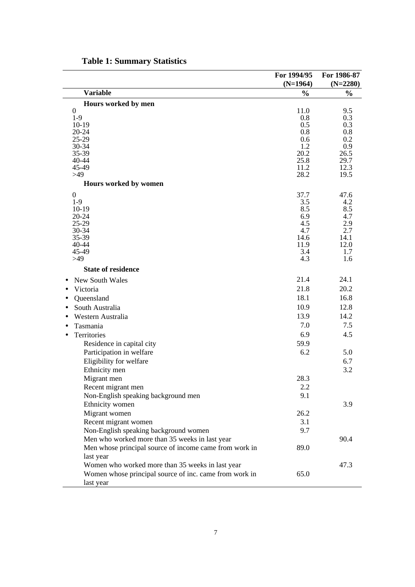|           |                                                        | For 1994/95   | For 1986-87   |
|-----------|--------------------------------------------------------|---------------|---------------|
|           |                                                        | $(N=1964)$    | $(N=2280)$    |
|           | <b>Variable</b>                                        | $\frac{0}{0}$ | $\frac{0}{0}$ |
|           | Hours worked by men                                    |               |               |
|           | $\mathbf{0}$                                           | 11.0          | 9.5           |
|           | $1-9$<br>$10-19$                                       | 0.8<br>0.5    | 0.3<br>0.3    |
|           | 20-24                                                  | 0.8           | 0.8           |
|           | 25-29                                                  | 0.6           | 0.2           |
|           | 30-34                                                  | 1.2           | 0.9           |
|           | 35-39<br>40-44                                         | 20.2<br>25.8  | 26.5<br>29.7  |
|           | 45-49                                                  | 11.2          | 12.3          |
|           | >49                                                    | 28.2          | 19.5          |
|           | Hours worked by women                                  |               |               |
|           | $\theta$                                               | 37.7          | 47.6          |
|           | $1-9$                                                  | 3.5           | 4.2           |
|           | $10-19$                                                | 8.5           | 8.5           |
|           | 20-24<br>$25-29$                                       | 6.9<br>4.5    | 4.7<br>2.9    |
|           | 30-34                                                  | 4.7           | 2.7           |
|           | 35-39                                                  | 14.6          | 14.1          |
|           | 40-44                                                  | 11.9          | 12.0          |
|           | 45-49<br>>49                                           | 3.4<br>4.3    | 1.7<br>1.6    |
|           | <b>State of residence</b>                              |               |               |
|           | <b>New South Wales</b>                                 | 21.4          | 24.1          |
|           | Victoria                                               | 21.8          | 20.2          |
|           | Queensland                                             | 18.1          | 16.8          |
| $\bullet$ | South Australia                                        | 10.9          | 12.8          |
|           | Western Australia                                      | 13.9          | 14.2          |
|           | Tasmania                                               | 7.0           | 7.5           |
|           |                                                        | 6.9           |               |
|           | Territories                                            |               | 4.5           |
|           | Residence in capital city                              | 59.9          |               |
|           | Participation in welfare                               | 6.2           | 5.0           |
|           | Eligibility for welfare                                |               | 6.7           |
|           | Ethnicity men                                          |               | 3.2           |
|           | Migrant men                                            | 28.3          |               |
|           | Recent migrant men                                     | 2.2           |               |
|           | Non-English speaking background men                    | 9.1           |               |
|           | Ethnicity women                                        |               | 3.9           |
|           | Migrant women                                          | 26.2          |               |
|           | Recent migrant women                                   | 3.1           |               |
|           | Non-English speaking background women                  | 9.7           |               |
|           | Men who worked more than 35 weeks in last year         |               | 90.4          |
|           | Men whose principal source of income came from work in | 89.0          |               |
|           | last year                                              |               |               |
|           | Women who worked more than 35 weeks in last year       |               | 47.3          |
|           | Women whose principal source of inc. came from work in | 65.0          |               |
|           | last year                                              |               |               |

# **Table 1: Summary Statistics**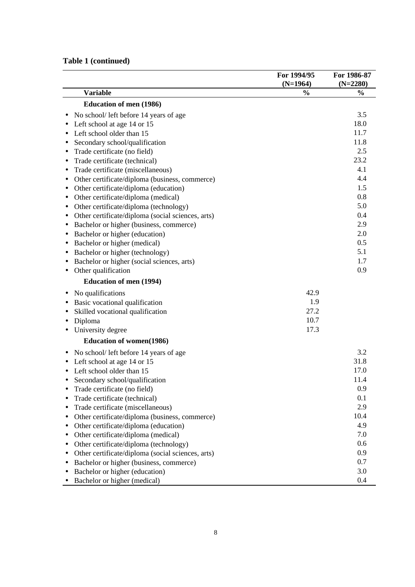# **Table 1 (continued)**

|                                                                | For 1994/95   | For 1986-87   |
|----------------------------------------------------------------|---------------|---------------|
|                                                                | $(N=1964)$    | $(N=2280)$    |
| <b>Variable</b>                                                | $\frac{0}{0}$ | $\frac{0}{0}$ |
| <b>Education of men (1986)</b>                                 |               |               |
| No school/ left before 14 years of age                         |               | 3.5           |
| Left school at age 14 or 15                                    |               | 18.0          |
| Left school older than 15                                      |               | 11.7          |
| Secondary school/qualification                                 |               | 11.8          |
| Trade certificate (no field)<br>٠                              |               | 2.5           |
| Trade certificate (technical)<br>$\bullet$                     |               | 23.2          |
| Trade certificate (miscellaneous)<br>$\bullet$                 |               | 4.1           |
| Other certificate/diploma (business, commerce)<br>٠            |               | 4.4           |
| Other certificate/diploma (education)<br>٠                     |               | 1.5           |
| Other certificate/diploma (medical)<br>٠                       |               | 0.8           |
| Other certificate/diploma (technology)<br>٠                    |               | 5.0           |
| Other certificate/diploma (social sciences, arts)<br>٠         |               | 0.4           |
| Bachelor or higher (business, commerce)<br>٠                   |               | 2.9           |
| Bachelor or higher (education)<br>٠                            |               | 2.0           |
| Bachelor or higher (medical)                                   |               | 0.5           |
| Bachelor or higher (technology)<br>٠                           |               | 5.1           |
| Bachelor or higher (social sciences, arts)<br>٠                |               | 1.7           |
| Other qualification<br>$\bullet$                               |               | 0.9           |
| <b>Education of men (1994)</b>                                 |               |               |
| No qualifications                                              | 42.9          |               |
| Basic vocational qualification                                 | 1.9           |               |
| Skilled vocational qualification<br>٠                          | 27.2          |               |
| Diploma<br>$\bullet$                                           | 10.7          |               |
| University degree                                              | 17.3          |               |
|                                                                |               |               |
| <b>Education of women(1986)</b>                                |               |               |
| No school/ left before 14 years of age<br>٠                    |               | 3.2           |
| Left school at age 14 or 15                                    |               | 31.8          |
| Left school older than 15                                      |               | 17.0          |
| Secondary school/qualification                                 |               | 11.4          |
| Trade certificate (no field)                                   |               | 0.9           |
| Trade certificate (technical)                                  |               | 0.1           |
| Trade certificate (miscellaneous)<br>$\bullet$                 |               | 2.9           |
| Other certificate/diploma (business, commerce)<br>$\bullet$    |               | 10.4          |
| Other certificate/diploma (education)<br>$\bullet$             |               | 4.9           |
| Other certificate/diploma (medical)<br>$\bullet$               |               | 7.0           |
| Other certificate/diploma (technology)<br>$\bullet$            |               | 0.6           |
| Other certificate/diploma (social sciences, arts)<br>$\bullet$ |               | 0.9           |
| Bachelor or higher (business, commerce)<br>$\bullet$           |               | 0.7           |
| Bachelor or higher (education)<br>$\bullet$                    |               | 3.0           |
| Bachelor or higher (medical)<br>$\bullet$                      |               | 0.4           |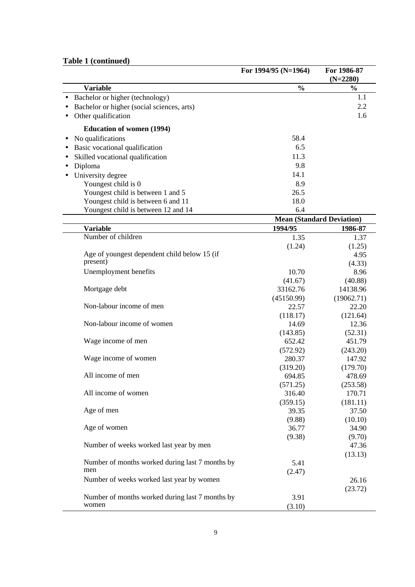### **Table 1 (continued)**

|                                                 | For 1994/95 (N=1964) | For 1986-87                      |
|-------------------------------------------------|----------------------|----------------------------------|
|                                                 |                      | $(N=2280)$                       |
| <b>Variable</b>                                 | $\frac{0}{0}$        | $\frac{1}{2}$                    |
| Bachelor or higher (technology)                 |                      | 1.1                              |
| Bachelor or higher (social sciences, arts)      |                      | 2.2                              |
| Other qualification                             |                      | 1.6                              |
| <b>Education of women (1994)</b>                |                      |                                  |
| No qualifications                               | 58.4                 |                                  |
| Basic vocational qualification                  | 6.5                  |                                  |
| Skilled vocational qualification                | 11.3                 |                                  |
| Diploma<br>٠                                    | 9.8                  |                                  |
| University degree                               | 14.1                 |                                  |
|                                                 | 8.9                  |                                  |
| Youngest child is 0                             | 26.5                 |                                  |
| Youngest child is between 1 and 5               | 18.0                 |                                  |
| Youngest child is between 6 and 11              | 6.4                  |                                  |
| Youngest child is between 12 and 14             |                      | <b>Mean (Standard Deviation)</b> |
| <b>Variable</b>                                 | 1994/95              | 1986-87                          |
| Number of children                              |                      |                                  |
|                                                 | 1.35                 | 1.37                             |
| Age of youngest dependent child below 15 (if    | (1.24)               | (1.25)                           |
| present)                                        |                      | 4.95                             |
| Unemployment benefits                           |                      | (4.33)                           |
|                                                 | 10.70                | 8.96                             |
| Mortgage debt                                   | (41.67)<br>33162.76  | (40.88)<br>14138.96              |
|                                                 | (45150.99)           | (19062.71)                       |
| Non-labour income of men                        | 22.57                | 22.20                            |
|                                                 | (118.17)             | (121.64)                         |
| Non-labour income of women                      | 14.69                | 12.36                            |
|                                                 | (143.85)             | (52.31)                          |
| Wage income of men                              | 652.42               | 451.79                           |
|                                                 | (572.92)             | (243.20)                         |
| Wage income of women                            | 280.37               | 147.92                           |
|                                                 | (319.20)             | (179.70)                         |
| All income of men                               | 694.85               | 478.69                           |
|                                                 | (571.25)             | (253.58)                         |
| All income of women                             | 316.40               | 170.71                           |
|                                                 | (359.15)             | (181.11)                         |
| Age of men                                      | 39.35                | 37.50                            |
|                                                 | (9.88)               | (10.10)                          |
| Age of women                                    | 36.77                | 34.90                            |
|                                                 | (9.38)               | (9.70)                           |
| Number of weeks worked last year by men         |                      | 47.36                            |
|                                                 |                      | (13.13)                          |
| Number of months worked during last 7 months by | 5.41                 |                                  |
| men                                             | (2.47)               |                                  |
| Number of weeks worked last year by women       |                      | 26.16                            |
|                                                 |                      | (23.72)                          |
| Number of months worked during last 7 months by | 3.91                 |                                  |
| women                                           | (3.10)               |                                  |
|                                                 |                      |                                  |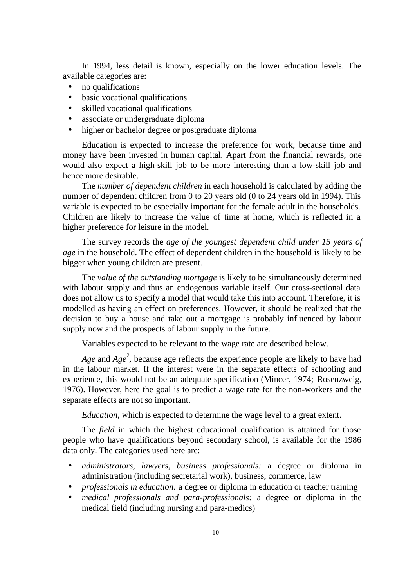In 1994, less detail is known, especially on the lower education levels. The available categories are:

- no qualifications
- basic vocational qualifications
- skilled vocational qualifications
- associate or undergraduate diploma
- higher or bachelor degree or postgraduate diploma

Education is expected to increase the preference for work, because time and money have been invested in human capital. Apart from the financial rewards, one would also expect a high-skill job to be more interesting than a low-skill job and hence more desirable.

The *number of dependent children* in each household is calculated by adding the number of dependent children from 0 to 20 years old (0 to 24 years old in 1994). This variable is expected to be especially important for the female adult in the households. Children are likely to increase the value of time at home, which is reflected in a higher preference for leisure in the model.

The survey records the *age of the youngest dependent child under 15 years of age* in the household. The effect of dependent children in the household is likely to be bigger when young children are present.

The *value of the outstanding mortgage* is likely to be simultaneously determined with labour supply and thus an endogenous variable itself. Our cross-sectional data does not allow us to specify a model that would take this into account. Therefore, it is modelled as having an effect on preferences. However, it should be realized that the decision to buy a house and take out a mortgage is probably influenced by labour supply now and the prospects of labour supply in the future.

Variables expected to be relevant to the wage rate are described below.

*Age* and *Age<sup>2</sup>*, because age reflects the experience people are likely to have had in the labour market. If the interest were in the separate effects of schooling and experience, this would not be an adequate specification (Mincer, 1974; Rosenzweig, 1976). However, here the goal is to predict a wage rate for the non-workers and the separate effects are not so important.

*Education,* which is expected to determine the wage level to a great extent.

The *field* in which the highest educational qualification is attained for those people who have qualifications beyond secondary school, is available for the 1986 data only. The categories used here are:

- *administrators, lawyers, business professionals:* a degree or diploma in administration (including secretarial work), business, commerce, law
- *professionals in education:* a degree or diploma in education or teacher training
- *medical professionals and para-professionals:* a degree or diploma in the medical field (including nursing and para-medics)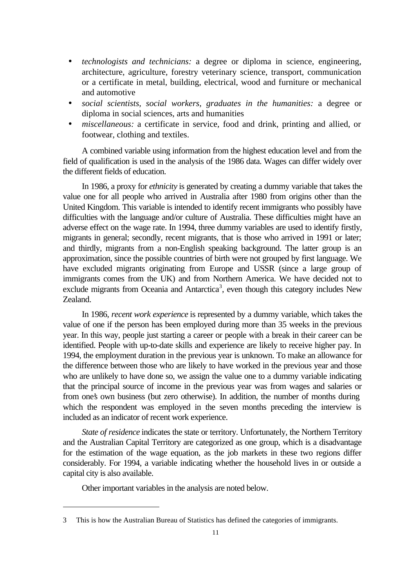- *technologists and technicians:* a degree or diploma in science, engineering, architecture, agriculture, forestry veterinary science, transport, communication or a certificate in metal, building, electrical, wood and furniture or mechanical and automotive
- *social scientists, social workers, graduates in the humanities:* a degree or diploma in social sciences, arts and humanities
- *miscellaneous:* a certificate in service, food and drink, printing and allied, or footwear, clothing and textiles.

A combined variable using information from the highest education level and from the field of qualification is used in the analysis of the 1986 data. Wages can differ widely over the different fields of education.

In 1986, a proxy for *ethnicity* is generated by creating a dummy variable that takes the value one for all people who arrived in Australia after 1980 from origins other than the United Kingdom. This variable is intended to identify recent immigrants who possibly have difficulties with the language and/or culture of Australia. These difficulties might have an adverse effect on the wage rate. In 1994, three dummy variables are used to identify firstly, migrants in general; secondly, recent migrants, that is those who arrived in 1991 or later; and thirdly, migrants from a non-English speaking background. The latter group is an approximation, since the possible countries of birth were not grouped by first language. We have excluded migrants originating from Europe and USSR (since a large group of immigrants comes from the UK) and from Northern America. We have decided not to exclude migrants from Oceania and Antarctica<sup>3</sup>, even though this category includes New Zealand.

In 1986, *recent work experience* is represented by a dummy variable, which takes the value of one if the person has been employed during more than 35 weeks in the previous year. In this way, people just starting a career or people with a break in their career can be identified. People with up-to-date skills and experience are likely to receive higher pay. In 1994, the employment duration in the previous year is unknown. To make an allowance for the difference between those who are likely to have worked in the previous year and those who are unlikely to have done so, we assign the value one to a dummy variable indicating that the principal source of income in the previous year was from wages and salaries or from one's own business (but zero otherwise). In addition, the number of months during which the respondent was employed in the seven months preceding the interview is included as an indicator of recent work experience.

*State of residence* indicates the state or territory. Unfortunately, the Northern Territory and the Australian Capital Territory are categorized as one group, which is a disadvantage for the estimation of the wage equation, as the job markets in these two regions differ considerably. For 1994, a variable indicating whether the household lives in or outside a capital city is also available.

Other important variables in the analysis are noted below.

<sup>3</sup> This is how the Australian Bureau of Statistics has defined the categories of immigrants.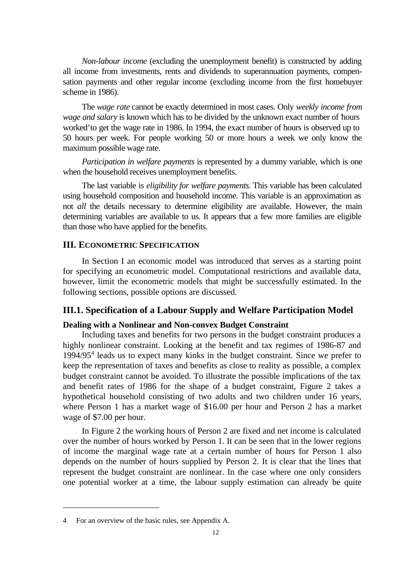*Non-labour income* (excluding the unemployment benefit) is constructed by adding all income from investments, rents and dividends to superannuation payments, compensation payments and other regular income (excluding income from the first homebuyer scheme in 1986).

The *wage rate* cannot be exactly determined in most cases. Only *weekly income from wage and salary* is known which has to be divided by the unknown exact number of hours worked' to get the wage rate in 1986. In 1994, the exact number of hours is observed up to 50 hours per week. For people working 50 or more hours a week we only know the maximum possible wage rate.

*Participation in welfare payments* is represented by a dummy variable, which is one when the household receives unemployment benefits.

The last variable is *eligibility for welfare payments*. This variable has been calculated using household composition and household income. This variable is an approximation as not *all* the details necessary to determine eligibility are available. However, the main determining variables are available to us. It appears that a few more families are eligible than those who have applied for the benefits.

### **III. ECONOMETRIC SPECIFICATION**

In Section I an economic model was introduced that serves as a starting point for specifying an econometric model. Computational restrictions and available data, however, limit the econometric models that might be successfully estimated. In the following sections, possible options are discussed.

### **III.1. Specification of a Labour Supply and Welfare Participation Model**

### **Dealing with a Nonlinear and Non-convex Budget Constraint**

Including taxes and benefits for two persons in the budget constraint produces a highly nonlinear constraint. Looking at the benefit and tax regimes of 1986-87 and 1994/95<sup>4</sup> leads us to expect many kinks in the budget constraint. Since we prefer to keep the representation of taxes and benefits as close to reality as possible, a complex budget constraint cannot be avoided. To illustrate the possible implications of the tax and benefit rates of 1986 for the shape of a budget constraint, Figure 2 takes a hypothetical household consisting of two adults and two children under 16 years, where Person 1 has a market wage of \$16.00 per hour and Person 2 has a market wage of \$7.00 per hour.

In Figure 2 the working hours of Person 2 are fixed and net income is calculated over the number of hours worked by Person 1. It can be seen that in the lower regions of income the marginal wage rate at a certain number of hours for Person 1 also depends on the number of hours supplied by Person 2. It is clear that the lines that represent the budget constraint are nonlinear. In the case where one only considers one potential worker at a time, the labour supply estimation can already be quite

 $\overline{a}$ 

<sup>4</sup> For an overview of the basic rules, see Appendix A.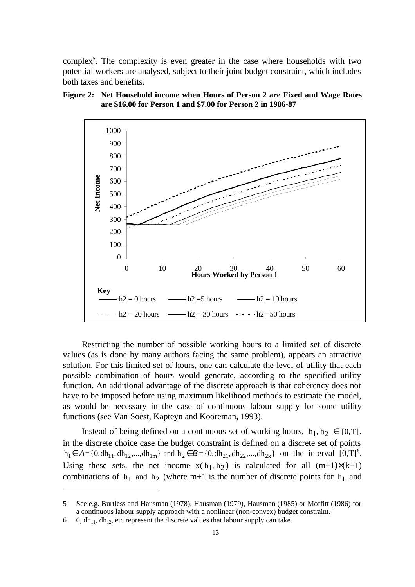complex<sup>5</sup>. The complexity is even greater in the case where households with two potential workers are analysed, subject to their joint budget constraint, which includes both taxes and benefits.





Restricting the number of possible working hours to a limited set of discrete values (as is done by many authors facing the same problem), appears an attractive solution. For this limited set of hours, one can calculate the level of utility that each possible combination of hours would generate, according to the specified utility function. An additional advantage of the discrete approach is that coherency does not have to be imposed before using maximum likelihood methods to estimate the model, as would be necessary in the case of continuous labour supply for some utility functions (see Van Soest, Kapteyn and Kooreman, 1993).

Instead of being defined on a continuous set of working hours,  $h_1, h_2 \in [0, T]$ , in the discrete choice case the budget constraint is defined on a discrete set of points  $h_1 \in A = \{0, dh_{11}, dh_{12},..., dh_{1m}\}\$ and  $h_2 \in B = \{0, dh_{21}, dh_{22},..., dh_{2k}\}\$ on the interval  $[0, T]^6$ . Using these sets, the net income  $x(h_1, h_2)$  is calculated for all  $(m+1)\times(k+1)$ combinations of  $h_1$  and  $h_2$  (where m+1 is the number of discrete points for  $h_1$  and

 $\overline{a}$ 

<sup>5</sup> See e.g. Burtless and Hausman (1978), Hausman (1979), Hausman (1985) or Moffitt (1986) for a continuous labour supply approach with a nonlinear (non-convex) budget constraint.

<sup>6 0,</sup>  $dh_{11}$ ,  $dh_{12}$ , etc represent the discrete values that labour supply can take.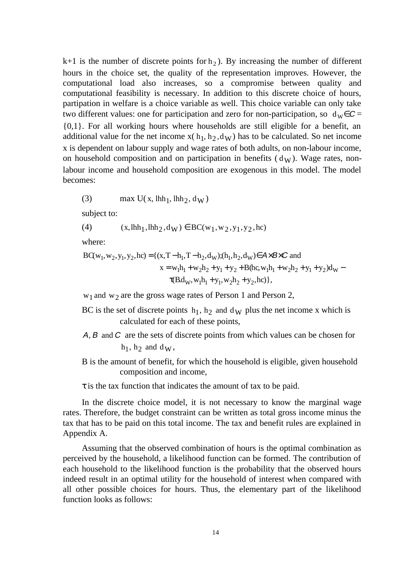$k+1$  is the number of discrete points for  $h_2$ ). By increasing the number of different hours in the choice set, the quality of the representation improves. However, the computational load also increases, so a compromise between quality and computational feasibility is necessary. In addition to this discrete choice of hours, partipation in welfare is a choice variable as well. This choice variable can only take two different values: one for participation and zero for non-participation, so  $d_w \in \mathcal{C}$  = {0,1}. For all working hours where households are still eligible for a benefit, an additional value for the net income  $x(h_1, h_2, dw)$  has to be calculated. So net income x is dependent on labour supply and wage rates of both adults, on non-labour income, on household composition and on participation in benefits  $(d_W)$ . Wage rates, nonlabour income and household composition are exogenous in this model. The model becomes:

(3) 
$$
\max U(x, lhh_1, lhh_2, d_W)
$$

subject to:

(4) 
$$
(x, \text{lhh}_1, \text{lhh}_2, d_W) \in BC(w_1, w_2, y_1, y_2, hc)
$$

where:

 $\tau(B.d_W, w_1h_1 + y_1, w_2h_2 + y_2, hc) \},$  $x = w_1 h_1 + w_2 h_2 + y_1 + y_2 + B(hc, w_1 h_1 + w_2 h_2 + y_1 + y_2) d_W$  $BC(w_1, w_2, y_1, y_2, hc) = \{(x, T - h_1, T - h_2, d_W); (h_1, h_2, d_W) \in A \times B \times C \text{ and }$ 

 $w_1$  and  $w_2$  are the gross wage rates of Person 1 and Person 2,

- BC is the set of discrete points  $h_1$ ,  $h_2$  and  $d_W$  plus the net income x which is calculated for each of these points,
- $A, B$  and  $C$  are the sets of discrete points from which values can be chosen for  $h_1$ ,  $h_2$  and  $d_W$ ,
- B is the amount of benefit, for which the household is eligible, given household composition and income,

 $\tau$  is the tax function that indicates the amount of tax to be paid.

In the discrete choice model, it is not necessary to know the marginal wage rates. Therefore, the budget constraint can be written as total gross income minus the tax that has to be paid on this total income. The tax and benefit rules are explained in Appendix A.

Assuming that the observed combination of hours is the optimal combination as perceived by the household, a likelihood function can be formed. The contribution of each household to the likelihood function is the probability that the observed hours indeed result in an optimal utility for the household of interest when compared with all other possible choices for hours. Thus, the elementary part of the likelihood function looks as follows: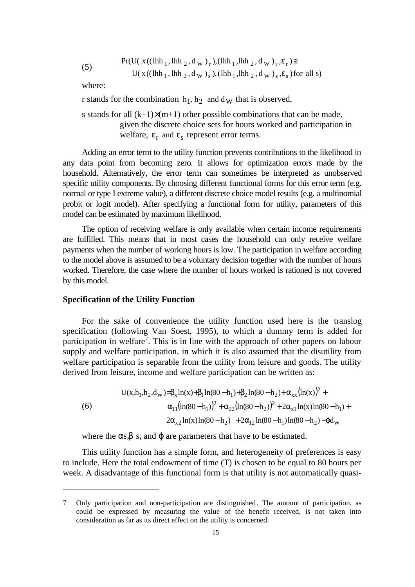(5) 
$$
\Pr(U(x((\text{lh}_{1}, \text{lh}_{2}, d_{W})_{r}), (\text{lh}_{1}, \text{lh}_{2}, d_{W})_{r}, \varepsilon_{r}) \geq U(x((\text{lh}_{1}, \text{lh}_{2}, d_{W})_{s}), (\text{lh}_{1}, \text{lh}_{2}, d_{W})_{s}, \varepsilon_{s}) \text{ for all } s)
$$

where:

r stands for the combination  $h_1, h_2$  and d<sub>W</sub> that is observed,

s stands for all  $(k+1)\times(m+1)$  other possible combinations that can be made, given the discrete choice sets for hours worked and participation in welfare,  $\varepsilon_r$  and  $\varepsilon_s$  represent error terms.

Adding an error term to the utility function prevents contributions to the likelihood in any data point from becoming zero. It allows for optimization errors made by the household. Alternatively, the error term can sometimes be interpreted as unobserved specific utility components. By choosing different functional forms for this error term (e.g. normal or type I extreme value), a different discrete choice model results (e.g. a multinomial probit or logit model). After specifying a functional form for utility, parameters of this model can be estimated by maximum likelihood.

The option of receiving welfare is only available when certain income requirements are fulfilled. This means that in most cases the household can only receive welfare payments when the number of working hours is low. The participation in welfare according to the model above is assumed to be a voluntary decision together with the number of hours worked. Therefore, the case where the number of hours worked is rationed is not covered by this model.

### **Specification of the Utility Function**

 $\overline{a}$ 

For the sake of convenience the utility function used here is the translog specification (following Van Soest, 1995), to which a dummy term is added for participation in welfare<sup>7</sup>. This is in line with the approach of other papers on labour supply and welfare participation, in which it is also assumed that the disutility from welfare participation is separable from the utility from leisure and goods. The utility derived from leisure, income and welfare participation can be written as:

$$
U(x, h_1, h_2, d_W) = \beta_x \ln(x) + \beta_1 \ln(80 - h_1) + \beta_2 \ln(80 - h_2) + \alpha_{xx} (\ln(x))^2 + \alpha_{11} (\ln(80 - h_1))^2 + \alpha_{22} (\ln(80 - h_2))^2 + 2\alpha_{x1} \ln(x) \ln(80 - h_1) + 2\alpha_{x2} \ln(x) \ln(80 - h_2) + 2\alpha_{12} \ln(80 - h_1) \ln(80 - h_2) - \phi d_W
$$

where the  $\alpha s, \beta s$ , and  $\varphi$  are parameters that have to be estimated.

This utility function has a simple form, and heterogeneity of preferences is easy to include. Here the total endowment of time (T) is chosen to be equal to 80 hours per week. A disadvantage of this functional form is that utility is not automatically quasi-

<sup>7</sup> Only participation and non-participation are distinguished. The amount of participation, as could be expressed by measuring the value of the benefit received, is not taken into consideration as far as its direct effect on the utility is concerned.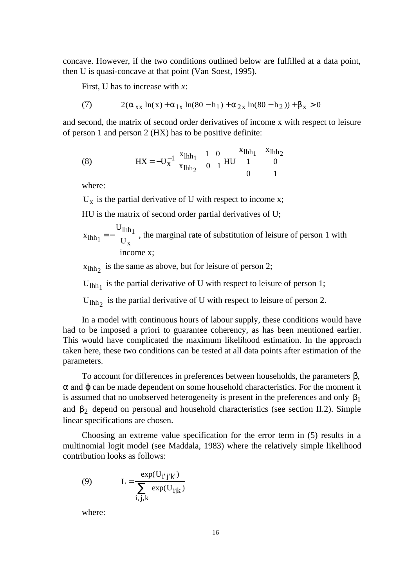concave. However, if the two conditions outlined below are fulfilled at a data point, then U is quasi-concave at that point (Van Soest, 1995).

First, U has to increase with *x*:

(7) 
$$
2(\alpha_{xx} \ln(x) + \alpha_{1x} \ln(80 - h_1) + \alpha_{2x} \ln(80 - h_2)) + \beta_x > 0
$$

and second, the matrix of second order derivatives of income x with respect to leisure of person 1 and person 2 (HX) has to be positive definite:

(8) 
$$
HX = -U_x^{-1} \begin{bmatrix} x_{1hh_1} & 1 & 0 \ x_{1hh_2} & 0 & 1 \end{bmatrix} HU \begin{bmatrix} x_{1hh_1} & x_{1hh_2} \ 1 & 0 \ 0 & 1 \end{bmatrix}
$$

where:

 $U_x$  is the partial derivative of U with respect to income x;

HU is the matrix of second order partial derivatives of U;

$$
x_{\text{lhh}_1} = -\frac{U_{\text{lhh}_1}}{U_x}
$$
, the marginal rate of substitution of leisure of person 1 with income x;

 $x_{\text{lhh}_2}$  is the same as above, but for leisure of person 2;

 $U_{lhh_1}$  is the partial derivative of U with respect to leisure of person 1;

 $U_{\text{lhh}_2}$  is the partial derivative of U with respect to leisure of person 2.

In a model with continuous hours of labour supply, these conditions would have had to be imposed a priori to guarantee coherency, as has been mentioned earlier. This would have complicated the maximum likelihood estimation. In the approach taken here, these two conditions can be tested at all data points after estimation of the parameters.

To account for differences in preferences between households, the parameters β,  $\alpha$  and  $\varphi$  can be made dependent on some household characteristics. For the moment it is assumed that no unobserved heterogeneity is present in the preferences and only  $\beta_1$ and  $\beta_2$  depend on personal and household characteristics (see section II.2). Simple linear specifications are chosen.

Choosing an extreme value specification for the error term in (5) results in a multinomial logit model (see Maddala, 1983) where the relatively simple likelihood contribution looks as follows:

(9) 
$$
L = \frac{\exp(U_{i'j'k'})}{\sum_{i,j,k} \exp(U_{ijk})}
$$

where: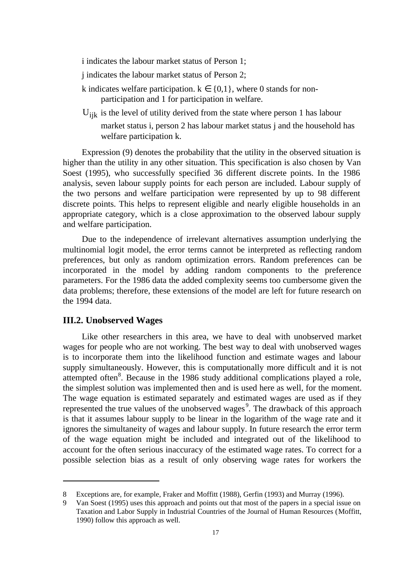i indicates the labour market status of Person 1;

- j indicates the labour market status of Person 2;
- k indicates welfare participation.  $k \in \{0,1\}$ , where 0 stands for nonparticipation and 1 for participation in welfare.
- U<sub>ijk</sub> is the level of utility derived from the state where person 1 has labour market status i, person 2 has labour market status *i* and the household has welfare participation k.

Expression (9) denotes the probability that the utility in the observed situation is higher than the utility in any other situation. This specification is also chosen by Van Soest (1995), who successfully specified 36 different discrete points. In the 1986 analysis, seven labour supply points for each person are included. Labour supply of the two persons and welfare participation were represented by up to 98 different discrete points. This helps to represent eligible and nearly eligible households in an appropriate category, which is a close approximation to the observed labour supply and welfare participation.

Due to the independence of irrelevant alternatives assumption underlying the multinomial logit model, the error terms cannot be interpreted as reflecting random preferences, but only as random optimization errors. Random preferences can be incorporated in the model by adding random components to the preference parameters. For the 1986 data the added complexity seems too cumbersome given the data problems; therefore, these extensions of the model are left for future research on the 1994 data.

### **III.2. Unobserved Wages**

 $\overline{a}$ 

Like other researchers in this area, we have to deal with unobserved market wages for people who are not working. The best way to deal with unobserved wages is to incorporate them into the likelihood function and estimate wages and labour supply simultaneously. However, this is computationally more difficult and it is not attempted often<sup>8</sup>. Because in the 1986 study additional complications played a role, the simplest solution was implemented then and is used here as well, for the moment. The wage equation is estimated separately and estimated wages are used as if they represented the true values of the unobserved wages<sup>9</sup>. The drawback of this approach is that it assumes labour supply to be linear in the logarithm of the wage rate and it ignores the simultaneity of wages and labour supply. In future research the error term of the wage equation might be included and integrated out of the likelihood to account for the often serious inaccuracy of the estimated wage rates. To correct for a possible selection bias as a result of only observing wage rates for workers the

<sup>8</sup> Exceptions are, for example, Fraker and Moffitt (1988), Gerfin (1993) and Murray (1996).

<sup>9</sup> Van Soest (1995) uses this approach and points out that most of the papers in a special issue on Taxation and Labor Supply in Industrial Countries of the Journal of Human Resources (Moffitt, 1990) follow this approach as well.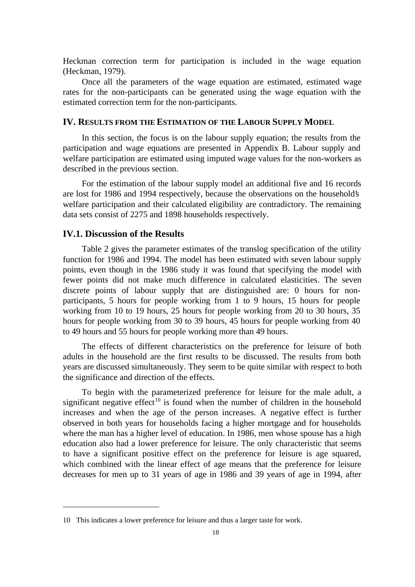Heckman correction term for participation is included in the wage equation (Heckman, 1979).

Once all the parameters of the wage equation are estimated, estimated wage rates for the non-participants can be generated using the wage equation with the estimated correction term for the non-participants.

### **IV. RESULTS FROM THE ESTIMATION OF THE LABOUR SUPPLY MODEL**

In this section, the focus is on the labour supply equation; the results from the participation and wage equations are presented in Appendix B. Labour supply and welfare participation are estimated using imputed wage values for the non-workers as described in the previous section.

For the estimation of the labour supply model an additional five and 16 records are lost for 1986 and 1994 respectively, because the observations on the household's welfare participation and their calculated eligibility are contradictory. The remaining data sets consist of 2275 and 1898 households respectively.

### **IV.1. Discussion of the Results**

Table 2 gives the parameter estimates of the translog specification of the utility function for 1986 and 1994. The model has been estimated with seven labour supply points, even though in the 1986 study it was found that specifying the model with fewer points did not make much difference in calculated elasticities. The seven discrete points of labour supply that are distinguished are: 0 hours for nonparticipants, 5 hours for people working from 1 to 9 hours, 15 hours for people working from 10 to 19 hours, 25 hours for people working from 20 to 30 hours, 35 hours for people working from 30 to 39 hours, 45 hours for people working from 40 to 49 hours and 55 hours for people working more than 49 hours.

The effects of different characteristics on the preference for leisure of both adults in the household are the first results to be discussed. The results from both years are discussed simultaneously. They seem to be quite similar with respect to both the significance and direction of the effects.

To begin with the parameterized preference for leisure for the male adult, a significant negative effect<sup>10</sup> is found when the number of children in the household increases and when the age of the person increases. A negative effect is further observed in both years for households facing a higher mortgage and for households where the man has a higher level of education. In 1986, men whose spouse has a high education also had a lower preference for leisure. The only characteristic that seems to have a significant positive effect on the preference for leisure is age squared, which combined with the linear effect of age means that the preference for leisure decreases for men up to 31 years of age in 1986 and 39 years of age in 1994, after

<sup>10</sup> This indicates a lower preference for leisure and thus a larger taste for work.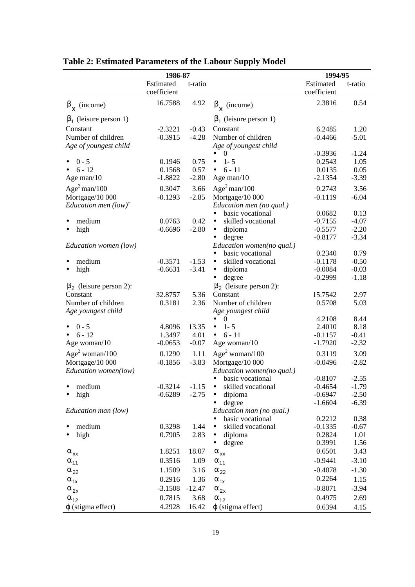|                               | 1986-87                  |                      |                                            | 1994/95                  |                    |  |
|-------------------------------|--------------------------|----------------------|--------------------------------------------|--------------------------|--------------------|--|
|                               | Estimated<br>coefficient | t-ratio              |                                            | Estimated<br>coefficient | t-ratio            |  |
| $\beta_{\mathbf{x}}$ (income) | 16.7588                  | 4.92                 | $\beta_{\mathbf{x}}$ (income)              | 2.3816                   | 0.54               |  |
| $\beta_1$ (leisure person 1)  |                          |                      | $\beta_1$ (leisure person 1)               |                          |                    |  |
| Constant                      | $-2.3221$                | $-0.43$              | Constant                                   | 6.2485                   | 1.20               |  |
| Number of children            | $-0.3915$                | $-4.28$              | Number of children                         | $-0.4466$                | $-5.01$            |  |
| Age of youngest child         |                          |                      | Age of youngest child                      |                          |                    |  |
| $0 - 5$                       | 0.1946                   | 0.75                 | $\theta$<br>$1 - 5$                        | $-0.3936$<br>0.2543      | $-1.24$<br>1.05    |  |
| $6 - 12$                      | 0.1568                   | 0.57                 | $6 - 11$<br>$\bullet$                      | 0.0135                   | 0.05               |  |
| Age man/10                    | $-1.8822$                | $-2.80$              | Age man/10                                 | $-2.1354$                | $-3.39$            |  |
| $Age2$ man/100                | 0.3047                   | 3.66                 | Age <sup>2</sup> man/100                   | 0.2743                   | 3.56               |  |
| Mortgage/10 000               | $-0.1293$                | $-2.85$              | Mortgage/10 000                            | $-0.1119$                | $-6.04$            |  |
| Education men $(low)^c$       |                          |                      | Education men (no qual.)                   |                          |                    |  |
|                               |                          |                      | basic vocational                           | 0.0682                   | 0.13               |  |
| medium                        | 0.0763                   | 0.42                 | skilled vocational<br>$\bullet$            | $-0.7155$                | $-4.07$            |  |
| high                          | $-0.6696$                | $-2.80$              | diploma<br>$\bullet$                       | $-0.5577$                | $-2.20$            |  |
|                               |                          |                      | degree<br>$\bullet$                        | $-0.8177$                | $-3.34$            |  |
| Education women (low)         |                          |                      | Education women(no qual.)                  |                          |                    |  |
|                               |                          |                      | basic vocational<br>$\bullet$              | 0.2340                   | 0.79               |  |
| medium                        | $-0.3571$                | $-1.53$<br>$-3.41$   | skilled vocational<br>$\bullet$            | $-0.1178$                | $-0.50$            |  |
| high                          | $-0.6631$                |                      | diploma<br>$\bullet$<br>degree             | $-0.0084$<br>$-0.2999$   | $-0.03$<br>$-1.18$ |  |
| $\beta_2$ (leisure person 2): |                          |                      | $\beta_2$ (leisure person 2):              |                          |                    |  |
| Constant                      | 32.8757                  | 5.36                 | Constant                                   | 15.7542                  | 2.97               |  |
| Number of children            | 0.3181                   | 2.36                 | Number of children                         | 0.5708                   | 5.03               |  |
| Age youngest child            |                          |                      | Age youngest child                         |                          |                    |  |
|                               |                          |                      | $\boldsymbol{0}$<br>$\bullet$              | 4.2108                   | 8.44               |  |
| $0 - 5$                       | 4.8096                   | 13.35                | $1 - 5$<br>$\bullet$                       | 2.4010                   | 8.18               |  |
| $6 - 12$                      | 1.3497                   | 4.01                 | $6 - 11$<br>$\bullet$                      | $-0.1157$                | $-0.41$            |  |
| Age woman/10                  | $-0.0653$                | $-0.07$              | Age woman/10                               | $-1.7920$                | $-2.32$            |  |
| Age <sup>2</sup> woman/100    | 0.1290                   | 1.11                 | Age <sup>2</sup> woman/100                 | 0.3119                   | 3.09               |  |
| Mortgage/10 000               | $-0.1856$                | $-3.83$              | Mortgage/10 000                            | $-0.0496$                | $-2.82$            |  |
| Education women(low)          |                          |                      | Education women(no qual.)                  |                          |                    |  |
|                               |                          |                      | • basic vocational                         | $-0.8107$                | $-2.55$            |  |
| medium<br>high<br>$\bullet$   | $-0.3214$<br>$-0.6289$   | $-1.15$ •<br>$-2.75$ | skilled vocational<br>diploma<br>$\bullet$ | $-0.4654$<br>$-0.6947$   | $-1.79$<br>$-2.50$ |  |
|                               |                          |                      | degree<br>$\bullet$                        | $-1.6604$                | $-6.39$            |  |
| Education man (low)           |                          |                      | Education man (no qual.)                   |                          |                    |  |
|                               |                          |                      | basic vocational<br>$\bullet$              | 0.2212                   | 0.38               |  |
| medium                        | 0.3298                   | 1.44                 | skilled vocational<br>$\bullet$            | $-0.1335$                | $-0.67$            |  |
| high                          | 0.7905                   | 2.83                 | diploma<br>$\bullet$                       | 0.2824                   | 1.01               |  |
|                               |                          |                      | degree<br>٠                                | 0.3991                   | 1.56               |  |
| $\alpha_{xx}$                 | 1.8251                   | 18.07                | $\alpha_{xx}$                              | 0.6501                   | 3.43               |  |
| $\alpha_{11}$                 | 0.3516                   | 1.09                 | $\alpha_{11}$                              | $-0.9441$                | $-3.10$            |  |
| $\alpha_{22}$                 | 1.1509                   | 3.16                 | $\alpha_{22}$                              | $-0.4078$                | $-1.30$            |  |
| $\alpha_{1x}$                 | 0.2916                   | 1.36                 | $\alpha_{1x}$                              | 0.2264                   | 1.15               |  |
| $\alpha_{2x}$                 | $-3.1508$                | $-12.47$             | $\alpha_{2x}$                              | $-0.8071$                | $-3.94$            |  |
| $\alpha_{12}$                 | 0.7815                   | 3.68                 | $\alpha_{12}$                              | 0.4975                   | 2.69               |  |
| $\varphi$ (stigma effect)     | 4.2928                   | 16.42                | $\varphi$ (stigma effect)                  | 0.6394                   | 4.15               |  |

# **Table 2: Estimated Parameters of the Labour Supply Model**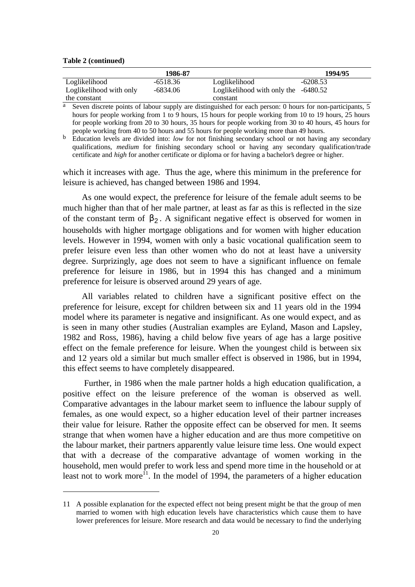### **Table 2 (continued)**

|                         | 1986-87    |                                        | 1994/95    |
|-------------------------|------------|----------------------------------------|------------|
| Loglikelihood           | $-6518.36$ | Loglikelihood                          | $-6208.53$ |
| Loglikelihood with only | -6834.06   | Loglikelihood with only the $-6480.52$ |            |
| the constant            |            | constant                               |            |

 $\overline{a}$  Seven discrete points of labour supply are distinguished for each person: 0 hours for non-participants,  $\overline{5}$ hours for people working from 1 to 9 hours, 15 hours for people working from 10 to 19 hours, 25 hours for people working from 20 to 30 hours, 35 hours for people working from 30 to 40 hours, 45 hours for people working from 40 to 50 hours and 55 hours for people working more than 49 hours.

b Education levels are divided into: *low* for not finishing secondary school or not having any secondary qualifications, *medium* for finishing secondary school or having any secondary qualification/trade certificate and *high* for another certificate or diploma or for having a bachelor's degree or higher.

which it increases with age. Thus the age, where this minimum in the preference for leisure is achieved, has changed between 1986 and 1994.

As one would expect, the preference for leisure of the female adult seems to be much higher than that of her male partner, at least as far as this is reflected in the size of the constant term of  $\beta_2$ . A significant negative effect is observed for women in households with higher mortgage obligations and for women with higher education levels. However in 1994, women with only a basic vocational qualification seem to prefer leisure even less than other women who do not at least have a university degree. Surprizingly, age does not seem to have a significant influence on female preference for leisure in 1986, but in 1994 this has changed and a minimum preference for leisure is observed around 29 years of age.

All variables related to children have a significant positive effect on the preference for leisure, except for children between six and 11 years old in the 1994 model where its parameter is negative and insignificant. As one would expect, and as is seen in many other studies (Australian examples are Eyland, Mason and Lapsley, 1982 and Ross, 1986), having a child below five years of age has a large positive effect on the female preference for leisure. When the youngest child is between six and 12 years old a similar but much smaller effect is observed in 1986, but in 1994, this effect seems to have completely disappeared.

Further, in 1986 when the male partner holds a high education qualification, a positive effect on the leisure preference of the woman is observed as well. Comparative advantages in the labour market seem to influence the labour supply of females, as one would expect, so a higher education level of their partner increases their value for leisure. Rather the opposite effect can be observed for men. It seems strange that when women have a higher education and are thus more competitive on the labour market, their partners apparently value leisure time less. One would expect that with a decrease of the comparative advantage of women working in the household, men would prefer to work less and spend more time in the household or at least not to work more<sup>11</sup>. In the model of 1994, the parameters of a higher education

<sup>11</sup> A possible explanation for the expected effect not being present might be that the group of men married to women with high education levels have characteristics which cause them to have lower preferences for leisure. More research and data would be necessary to find the underlying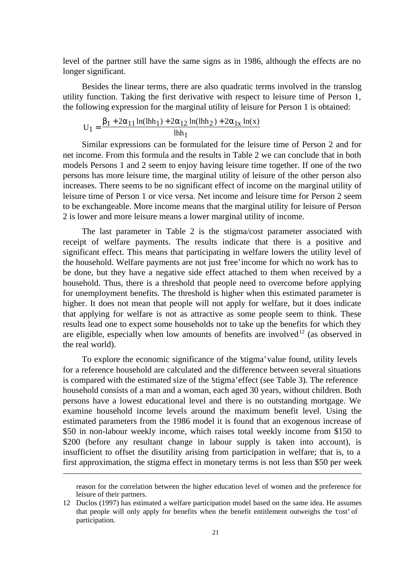level of the partner still have the same signs as in 1986, although the effects are no longer significant.

Besides the linear terms, there are also quadratic terms involved in the translog utility function. Taking the first derivative with respect to leisure time of Person 1, the following expression for the marginal utility of leisure for Person 1 is obtained:

$$
U_1 = \frac{\beta_1 + 2\alpha_{11} \ln(\text{lhh}_1) + 2\alpha_{12} \ln(\text{lhh}_2) + 2\alpha_{1x} \ln(x)}{\text{lhh}_1}
$$

Similar expressions can be formulated for the leisure time of Person 2 and for net income. From this formula and the results in Table 2 we can conclude that in both models Persons 1 and 2 seem to enjoy having leisure time together. If one of the two persons has more leisure time, the marginal utility of leisure of the other person also increases. There seems to be no significant effect of income on the marginal utility of leisure time of Person 1 or vice versa. Net income and leisure time for Person 2 seem to be exchangeable. More income means that the marginal utility for leisure of Person 2 is lower and more leisure means a lower marginal utility of income.

The last parameter in Table 2 is the stigma/cost parameter associated with receipt of welfare payments. The results indicate that there is a positive and significant effect. This means that participating in welfare lowers the utility level of the household. Welfare payments are not just 'free' income for which no work has to be done, but they have a negative side effect attached to them when received by a household. Thus, there is a threshold that people need to overcome before applying for unemployment benefits. The threshold is higher when this estimated parameter is higher. It does not mean that people will not apply for welfare, but it does indicate that applying for welfare is not as attractive as some people seem to think. These results lead one to expect some households not to take up the benefits for which they are eligible, especially when low amounts of benefits are involved<sup>12</sup> (as observed in the real world).

To explore the economic significance of the 'stigma' value found, utility levels for a reference household are calculated and the difference between several situations is compared with the estimated size of the 'stigma' effect (see Table 3). The reference household consists of a man and a woman, each aged 30 years, without children. Both persons have a lowest educational level and there is no outstanding mortgage. We examine household income levels around the maximum benefit level. Using the estimated parameters from the 1986 model it is found that an exogenous increase of \$50 in non-labour weekly income, which raises total weekly income from \$150 to \$200 (before any resultant change in labour supply is taken into account), is insufficient to offset the disutility arising from participation in welfare; that is, to a first approximation, the stigma effect in monetary terms is not less than \$50 per week

 $\overline{a}$ 

reason for the correlation between the higher education level of women and the preference for leisure of their partners.

<sup>12</sup> Duclos (1997) has estimated a welfare participation model based on the same idea. He assumes that people will only apply for benefits when the benefit entitlement outweighs the 'cost' of participation.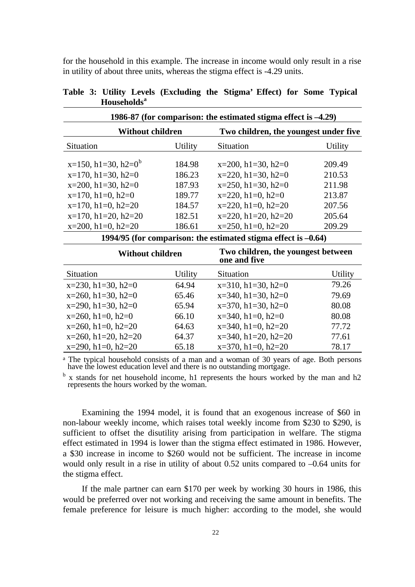for the household in this example. The increase in income would only result in a rise in utility of about three units, whereas the stigma effect is -4.29 units.

| 1986-87 (for comparison: the estimated stigma effect is $-4.29$ )                                                          |                                      |                                                                                                 |                                      |  |  |  |
|----------------------------------------------------------------------------------------------------------------------------|--------------------------------------|-------------------------------------------------------------------------------------------------|--------------------------------------|--|--|--|
| <b>Without children</b>                                                                                                    |                                      | Two children, the youngest under five                                                           |                                      |  |  |  |
| Situation                                                                                                                  | <b>Utility</b>                       | Situation                                                                                       | Utility                              |  |  |  |
| $x=150$ , h1=30, h2=0 <sup>b</sup><br>$x=170$ , h $1=30$ , h $2=0$<br>$x=200$ , h1=30, h2=0<br>$x=170$ , h $1=0$ , h $2=0$ | 184.98<br>186.23<br>187.93<br>189.77 | $x=200$ , h1=30, h2=0<br>$x=220$ , h1=30, h2=0<br>$x=250$ , h1=30, h2=0<br>$x=220$ , h1=0, h2=0 | 209.49<br>210.53<br>211.98<br>213.87 |  |  |  |
| $x=170$ , h $1=0$ , h $2=20$<br>$x=170$ , h $1=20$ , h $2=20$<br>$x=200$ , h1=0, h2=20                                     | 184.57<br>182.51<br>186.61           | $x=220$ , h1=0, h2=20<br>$x=220$ , h1=20, h2=20<br>$x=250$ , h1=0, h2=20                        | 207.56<br>205.64<br>209.29           |  |  |  |
|                                                                                                                            |                                      | 1994/95 (for comparison: the estimated stigma effect is $-0.64$ )                               |                                      |  |  |  |
| <b>Without children</b>                                                                                                    |                                      | Two children, the youngest between<br>one and five                                              |                                      |  |  |  |
| <b>Situation</b>                                                                                                           | Utility                              | Situation                                                                                       | Utility                              |  |  |  |
| $x=230$ , h1=30, h2=0                                                                                                      | 64.94                                | $x=310$ , h1=30, h2=0                                                                           | 79.26                                |  |  |  |
| $x=260$ , h $1=30$ , h $2=0$                                                                                               | 65.46                                | $x=340$ , h1=30, h2=0                                                                           | 79.69                                |  |  |  |
| $x=290$ , h $1=30$ , h $2=0$                                                                                               | 65.94                                | $x=370$ , h1=30, h2=0                                                                           | 80.08                                |  |  |  |
| $x=260$ , h1=0, h2=0                                                                                                       | 66.10                                | $x=340$ , h1=0, h2=0                                                                            | 80.08                                |  |  |  |
| $x=260$ , h $1=0$ , h $2=20$                                                                                               | 64.63                                | $x=340$ , h $1=0$ , h $2=20$                                                                    | 77.72                                |  |  |  |
| $x=260$ , h $1=20$ , h $2=20$                                                                                              | 64.37                                | $x=340$ , h1=20, h2=20                                                                          | 77.61                                |  |  |  |

Table 3: Utility Levels (Excluding the Stigma' Effect) for Some Typical **Households<sup>a</sup>**

<sup>a</sup> The typical household consists of a man and a woman of 30 years of age. Both persons have the lowest education level and there is no outstanding mortgage.

 $x=290, h1=0, h2=20$  65.18  $x=370, h1=0, h2=20$  78.17

b x stands for net household income, h1 represents the hours worked by the man and h2 represents the hours worked by the woman.

Examining the 1994 model, it is found that an exogenous increase of \$60 in non-labour weekly income, which raises total weekly income from \$230 to \$290, is sufficient to offset the disutility arising from participation in welfare. The stigma effect estimated in 1994 is lower than the stigma effect estimated in 1986. However, a \$30 increase in income to \$260 would not be sufficient. The increase in income would only result in a rise in utility of about 0.52 units compared to –0.64 units for the stigma effect.

If the male partner can earn \$170 per week by working 30 hours in 1986, this would be preferred over not working and receiving the same amount in benefits. The female preference for leisure is much higher: according to the model, she would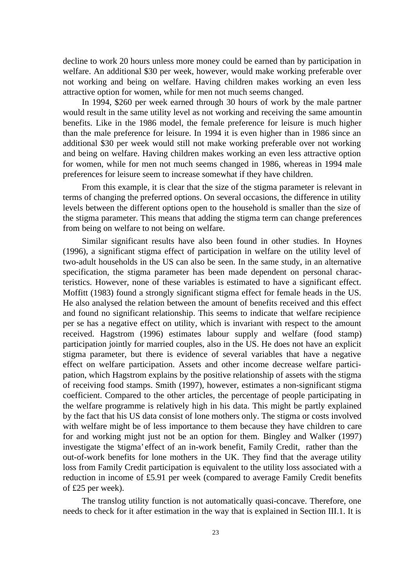decline to work 20 hours unless more money could be earned than by participation in welfare. An additional \$30 per week, however, would make working preferable over not working and being on welfare. Having children makes working an even less attractive option for women, while for men not much seems changed.

In 1994, \$260 per week earned through 30 hours of work by the male partner would result in the same utility level as not working and receiving the same amountin benefits. Like in the 1986 model, the female preference for leisure is much higher than the male preference for leisure. In 1994 it is even higher than in 1986 since an additional \$30 per week would still not make working preferable over not working and being on welfare. Having children makes working an even less attractive option for women, while for men not much seems changed in 1986, whereas in 1994 male preferences for leisure seem to increase somewhat if they have children.

From this example, it is clear that the size of the stigma parameter is relevant in terms of changing the preferred options. On several occasions, the difference in utility levels between the different options open to the household is smaller than the size of the stigma parameter. This means that adding the stigma term can change preferences from being on welfare to not being on welfare.

Similar significant results have also been found in other studies. In Hoynes (1996), a significant stigma effect of participation in welfare on the utility level of two-adult households in the US can also be seen. In the same study, in an alternative specification, the stigma parameter has been made dependent on personal characteristics. However, none of these variables is estimated to have a significant effect. Moffitt (1983) found a strongly significant stigma effect for female heads in the US. He also analysed the relation between the amount of benefits received and this effect and found no significant relationship. This seems to indicate that welfare recipience per se has a negative effect on utility, which is invariant with respect to the amount received. Hagstrom (1996) estimates labour supply and welfare (food stamp) participation jointly for married couples, also in the US. He does not have an explicit stigma parameter, but there is evidence of several variables that have a negative effect on welfare participation. Assets and other income decrease welfare participation, which Hagstrom explains by the positive relationship of assets with the stigma of receiving food stamps. Smith (1997), however, estimates a non-significant stigma coefficient. Compared to the other articles, the percentage of people participating in the welfare programme is relatively high in his data. This might be partly explained by the fact that his US data consist of lone mothers only. The stigma or costs involved with welfare might be of less importance to them because they have children to care for and working might just not be an option for them. Bingley and Walker (1997) investigate the 'stigma' effect of an in-work benefit, Family Credit, rather than the out-of-work benefits for lone mothers in the UK. They find that the average utility loss from Family Credit participation is equivalent to the utility loss associated with a reduction in income of £5.91 per week (compared to average Family Credit benefits of £25 per week).

The translog utility function is not automatically quasi-concave. Therefore, one needs to check for it after estimation in the way that is explained in Section III.1. It is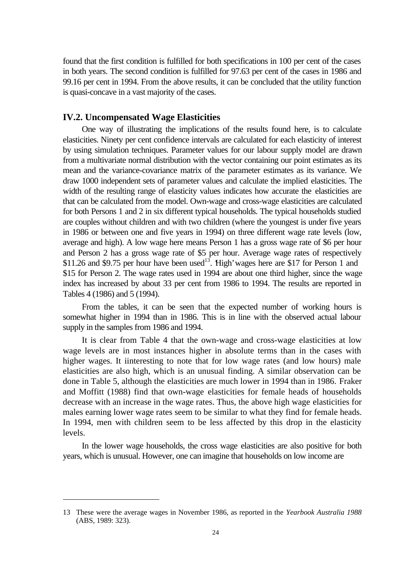found that the first condition is fulfilled for both specifications in 100 per cent of the cases in both years. The second condition is fulfilled for 97.63 per cent of the cases in 1986 and 99.16 per cent in 1994. From the above results, it can be concluded that the utility function is quasi-concave in a vast majority of the cases.

### **IV.2. Uncompensated Wage Elasticities**

One way of illustrating the implications of the results found here, is to calculate elasticities. Ninety per cent confidence intervals are calculated for each elasticity of interest by using simulation techniques. Parameter values for our labour supply model are drawn from a multivariate normal distribution with the vector containing our point estimates as its mean and the variance-covariance matrix of the parameter estimates as its variance. We draw 1000 independent sets of parameter values and calculate the implied elasticities. The width of the resulting range of elasticity values indicates how accurate the elasticities are that can be calculated from the model. Own-wage and cross-wage elasticities are calculated for both Persons 1 and 2 in six different typical households. The typical households studied are couples without children and with two children (where the youngest is under five years in 1986 or between one and five years in 1994) on three different wage rate levels (low, average and high). A low wage here means Person 1 has a gross wage rate of \$6 per hour and Person 2 has a gross wage rate of \$5 per hour. Average wage rates of respectively \$11.26 and \$9.75 per hour have been used<sup>13</sup>. High' wages here are \$17 for Person 1 and \$15 for Person 2. The wage rates used in 1994 are about one third higher, since the wage index has increased by about 33 per cent from 1986 to 1994. The results are reported in Tables 4 (1986) and 5 (1994).

From the tables, it can be seen that the expected number of working hours is somewhat higher in 1994 than in 1986. This is in line with the observed actual labour supply in the samples from 1986 and 1994.

It is clear from Table 4 that the own-wage and cross-wage elasticities at low wage levels are in most instances higher in absolute terms than in the cases with higher wages. It iinteresting to note that for low wage rates (and low hours) male elasticities are also high, which is an unusual finding. A similar observation can be done in Table 5, although the elasticities are much lower in 1994 than in 1986. Fraker and Moffitt (1988) find that own-wage elasticities for female heads of households decrease with an increase in the wage rates. Thus, the above high wage elasticities for males earning lower wage rates seem to be similar to what they find for female heads. In 1994, men with children seem to be less affected by this drop in the elasticity levels.

In the lower wage households, the cross wage elasticities are also positive for both years, which is unusual. However, one can imagine that households on low income are

<sup>13</sup> These were the average wages in November 1986, as reported in the *Yearbook Australia 1988* (ABS, 1989: 323).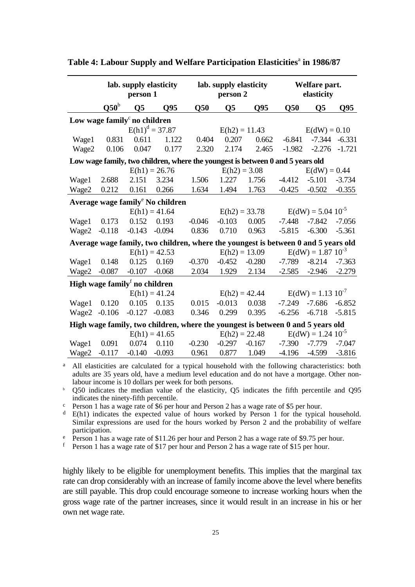|                                          | lab. supply elasticity<br>person 1 |                |                                                                                    |          | lab. supply elasticity<br>person 2 |                 |          | Welfare part.<br>elasticity |                 |  |
|------------------------------------------|------------------------------------|----------------|------------------------------------------------------------------------------------|----------|------------------------------------|-----------------|----------|-----------------------------|-----------------|--|
|                                          | $Q50^b$                            | Q <sub>5</sub> | Q95                                                                                | Q50      | $\overline{\text{Q5}}$             | Q <sub>95</sub> | Q50      | $\overline{\text{Q5}}$      | Q <sub>95</sub> |  |
| Low wage family <sup>c</sup> no children |                                    |                |                                                                                    |          |                                    |                 |          |                             |                 |  |
|                                          |                                    |                | $E(h1)^d = 37.87$                                                                  |          | $E(h2) = 11.43$                    |                 |          | $E(dW) = 0.10$              |                 |  |
| Wage1                                    | 0.831                              | 0.611          | 1.122                                                                              | 0.404    | 0.207                              | 0.662           | $-6.841$ | $-7.344$                    | $-6.331$        |  |
| Wage2                                    | 0.106                              | 0.047          | 0.177                                                                              | 2.320    | 2.174                              | 2.465           | $-1.982$ | $-2.276$                    | $-1.721$        |  |
|                                          |                                    |                | Low wage family, two children, where the youngest is between 0 and 5 years old     |          |                                    |                 |          |                             |                 |  |
|                                          |                                    |                | $E(h1) = 26.76$                                                                    |          | $E(h2) = 3.08$                     |                 |          | $E(dW) = 0.44$              |                 |  |
| Wage1                                    | 2.688                              | 2.151          | 3.234                                                                              | 1.506    | 1.227                              | 1.756           | $-4.412$ | $-5.101$                    | $-3.734$        |  |
| Wage2                                    | 0.212                              | 0.161          | 0.266                                                                              | 1.634    | 1.494                              | 1.763           | $-0.425$ | $-0.502$                    | $-0.355$        |  |
|                                          |                                    |                | Average wage family <sup>e</sup> No children                                       |          |                                    |                 |          |                             |                 |  |
|                                          |                                    |                | $E(h1) = 41.64$                                                                    |          | $E(h2) = 33.78$                    |                 |          | $E(dW) = 5.04 10^{-5}$      |                 |  |
| Wage1                                    | 0.173                              | 0.152          | 0.193                                                                              | $-0.046$ | $-0.103$                           | 0.005           | -7.448   | $-7.842$                    | $-7.056$        |  |
| Wage2                                    | $-0.118$                           | $-0.143$       | $-0.094$                                                                           | 0.836    | 0.710                              | 0.963           | $-5.815$ | $-6.300$                    | $-5.361$        |  |
|                                          |                                    |                | Average wage family, two children, where the youngest is between 0 and 5 years old |          |                                    |                 |          |                             |                 |  |
|                                          |                                    |                | $E(h1) = 42.53$                                                                    |          | $E(h2) = 13.09$                    |                 |          | $E(dW) = 1.87 10^{-3}$      |                 |  |
| Wage1                                    | 0.148                              | 0.125          | 0.169                                                                              | $-0.370$ | $-0.452$                           | $-0.280$        | $-7.789$ | $-8.214$                    | $-7.363$        |  |
| Wage2                                    | $-0.087$                           | $-0.107$       | $-0.068$                                                                           | 2.034    | 1.929                              | 2.134           | $-2.585$ | $-2.946$                    | $-2.279$        |  |
|                                          | High wage family no children       |                |                                                                                    |          |                                    |                 |          |                             |                 |  |
|                                          |                                    |                | $E(h1) = 41.24$                                                                    |          | $E(h2) = 42.44$                    |                 |          | $E(dW) = 1.13 10^{-7}$      |                 |  |
| Wage1                                    | 0.120                              | 0.105          | 0.135                                                                              | 0.015    | $-0.013$                           | 0.038           | $-7.249$ | $-7.686$                    | $-6.852$        |  |
| Wage2                                    | $-0.106$                           | $-0.127$       | $-0.083$                                                                           | 0.346    | 0.299                              | 0.395           | $-6.256$ | $-6.718$                    | $-5.815$        |  |
|                                          |                                    |                | High wage family, two children, where the youngest is between 0 and 5 years old    |          |                                    |                 |          |                             |                 |  |
|                                          |                                    |                | $E(h1) = 41.65$                                                                    |          | $E(h2) = 22.48$                    |                 |          | $E(dW) = 1.24 10^{-5}$      |                 |  |
| Wage1                                    | 0.091                              | 0.074          | 0.110                                                                              | $-0.230$ | $-0.297$                           | $-0.167$        | $-7.390$ | $-7.779$                    | $-7.047$        |  |
| Wage2                                    | $-0.117$                           | $-0.140$       | $-0.093$                                                                           | 0.961    | 0.877                              | 1.049           | $-4.196$ | $-4.599$                    | $-3.816$        |  |

Table 4: Labour Supply and Welfare Participation Elasticities<sup>a</sup> in 1986/87

<sup>a</sup> All elasticities are calculated for a typical household with the following characteristics: both adults are 35 years old, have a medium level education and do not have a mortgage. Other nonlabour income is 10 dollars per week for both persons.

<sup>b</sup> Q50 indicates the median value of the elasticity, Q5 indicates the fifth percentile and Q95 indicates the ninety-fifth percentile.

<sup>c</sup> Person 1 has a wage rate of \$6 per hour and Person 2 has a wage rate of \$5 per hour.

<sup>d</sup> E(h1) indicates the expected value of hours worked by Person 1 for the typical household. Similar expressions are used for the hours worked by Person 2 and the probability of welfare participation.

<sup>e</sup> Person 1 has a wage rate of \$11.26 per hour and Person 2 has a wage rate of \$9.75 per hour.

f Person 1 has a wage rate of \$17 per hour and Person 2 has a wage rate of \$15 per hour.

highly likely to be eligible for unemployment benefits. This implies that the marginal tax rate can drop considerably with an increase of family income above the level where benefits are still payable. This drop could encourage someone to increase working hours when the gross wage rate of the partner increases, since it would result in an increase in his or her own net wage rate.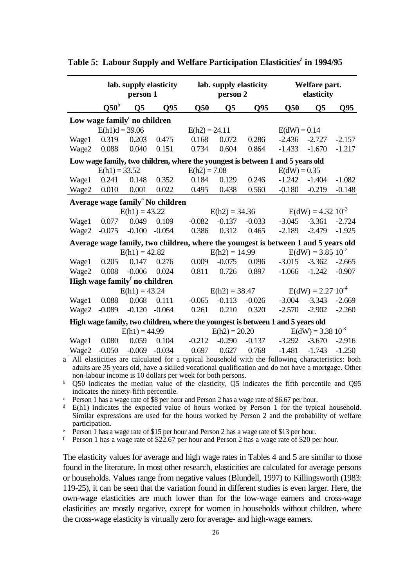| $Q50^b$<br>Q50<br>Q50<br>Q <sub>5</sub><br>Q95<br>$\overline{Q5}$<br>Q <sub>95</sub><br>$\overline{\text{O}}5$                                                                                  | Q <sub>95</sub> |
|-------------------------------------------------------------------------------------------------------------------------------------------------------------------------------------------------|-----------------|
|                                                                                                                                                                                                 |                 |
| Low wage family <sup>c</sup> no children                                                                                                                                                        |                 |
| $E(h1)d = 39.06$<br>$E(dW) = 0.14$<br>$E(h2) = 24.11$                                                                                                                                           |                 |
| 0.319<br>0.203<br>0.475<br>0.072<br>0.168<br>0.286<br>$-2.436$<br>$-2.727$<br>Wage1                                                                                                             | $-2.157$        |
| Wage2<br>0.088<br>0.040<br>0.734<br>0.864<br>0.151<br>0.604<br>$-1.433$<br>$-1.670$                                                                                                             | $-1.217$        |
| Low wage family, two children, where the youngest is between 1 and 5 years old                                                                                                                  |                 |
| $E(h1) = 33.52$<br>$E(h2) = 7.08$<br>$E(dW) = 0.35$                                                                                                                                             |                 |
| 0.241<br>0.148<br>0.352<br>0.184<br>0.129<br>0.246<br>$-1.242$<br>$-1.404$<br>Wage1                                                                                                             | $-1.082$        |
| 0.010<br>0.022<br>Wage2<br>0.001<br>0.495<br>0.438<br>0.560<br>$-0.219$<br>$-0.180$                                                                                                             | $-0.148$        |
| Average wage family <sup>e</sup> No children                                                                                                                                                    |                 |
| $E(dW) = 4.32 10^{-3}$<br>$E(h1) = 43.22$<br>$E(h2) = 34.36$                                                                                                                                    |                 |
| 0.049<br>0.109<br>$-0.082$<br>$-0.137$<br>$-0.033$<br>$-3.045$<br>$-3.361$<br>Wage1<br>0.077                                                                                                    | $-2.724$        |
| 0.312<br>Wage2<br>$-0.075$<br>$-0.100$<br>$-0.054$<br>0.386<br>0.465<br>$-2.479$<br>$-2.189$                                                                                                    | $-1.925$        |
| Average wage family, two children, where the youngest is between 1 and 5 years old                                                                                                              |                 |
| $E(dW) = 3.85 10^{-2}$<br>$E(h1) = 42.82$<br>$E(h2) = 14.99$                                                                                                                                    |                 |
| 0.147<br>$-3.362$<br>0.205<br>0.009<br>$-0.075$<br>0.096<br>$-3.015$<br>Wage1<br>0.276                                                                                                          | $-2.665$        |
| 0.897<br>Wage2<br>0.008<br>$-0.006$<br>0.024<br>0.811<br>0.726<br>$-1.066$<br>$-1.242$                                                                                                          | $-0.907$        |
| High wage family <sup>f</sup> no children                                                                                                                                                       |                 |
| $E(dW) = 2.27 10^{-4}$<br>$E(h1) = 43.24$<br>$E(h2) = 38.47$                                                                                                                                    |                 |
| $-3.004$ $-3.343$<br>0.088<br>0.068<br>0.111<br>$-0.065$<br>$-0.113$<br>$-0.026$<br>Wage1                                                                                                       | $-2.669$        |
| $-0.089$<br>$-0.120$<br>$-0.064$<br>0.261<br>Wage2<br>0.210<br>0.320<br>$-2.570$<br>$-2.902$                                                                                                    | $-2.260$        |
| High wage family, two children, where the youngest is between 1 and 5 years old                                                                                                                 |                 |
| $E(dW) = 3.38 10^{-3}$<br>$E(h1) = 44.99$<br>$E(h2) = 20.20$                                                                                                                                    |                 |
| 0.059<br>0.104<br>$-0.212$<br>$-0.290$<br>$-0.137$<br>$-3.292$<br>$-3.670$<br>Wage1<br>0.080                                                                                                    | $-2.916$        |
| $-1.743$<br>$-0.050$<br>$-0.069$<br>$-0.034$<br>0.697<br>0.627<br>0.768<br>$-1.481$<br>Wage2<br>All elasticities are calculated for a typical household with the following characteristics: bot | $-1.250$        |

Table 5: Labour Supply and Welfare Participation Elasticities<sup>a</sup> in 1994/95

a All elasticities are calculated for a typical household with the following characteristics: both adults are 35 years old, have a skilled vocational qualification and do not have a mortgage. Other non-labour income is 10 dollars per week for both persons.

<sup>b</sup> Q50 indicates the median value of the elasticity, Q5 indicates the fifth percentile and Q95 indicates the ninety-fifth percentile.

<sup>c</sup> Person 1 has a wage rate of \$8 per hour and Person 2 has a wage rate of \$6.67 per hour.

 $d$  E(h1) indicates the expected value of hours worked by Person 1 for the typical household. Similar expressions are used for the hours worked by Person 2 and the probability of welfare participation.

<sup>e</sup> Person 1 has a wage rate of \$15 per hour and Person 2 has a wage rate of \$13 per hour.

<sup>f</sup> Person 1 has a wage rate of \$22.67 per hour and Person 2 has a wage rate of \$20 per hour.

The elasticity values for average and high wage rates in Tables 4 and 5 are similar to those found in the literature. In most other research, elasticities are calculated for average persons or households. Values range from negative values (Blundell, 1997) to Killingsworth (1983: 119-25), it can be seen that the variation found in different studies is even larger. Here, the own-wage elasticities are much lower than for the low-wage earners and cross-wage elasticities are mostly negative, except for women in households without children, where the cross-wage elasticity is virtually zero for average- and high-wage earners.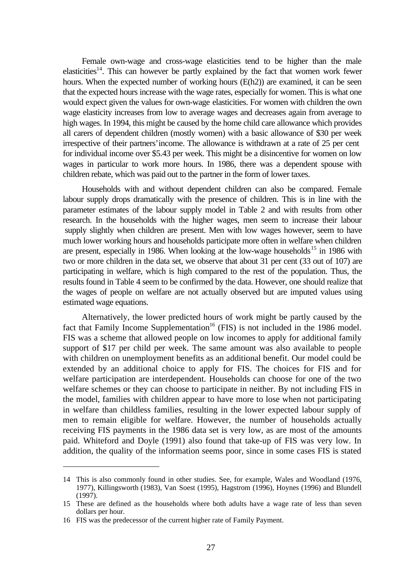Female own-wage and cross-wage elasticities tend to be higher than the male elasticities<sup>14</sup>. This can however be partly explained by the fact that women work fewer hours. When the expected number of working hours (E(h2)) are examined, it can be seen that the expected hours increase with the wage rates, especially for women. This is what one would expect given the values for own-wage elasticities. For women with children the own wage elasticity increases from low to average wages and decreases again from average to high wages. In 1994, this might be caused by the home child care allowance which provides all carers of dependent children (mostly women) with a basic allowance of \$30 per week irrespective of their partners' income. The allowance is withdrawn at a rate of 25 per cent for individual income over \$5.43 per week. This might be a disincentive for women on low wages in particular to work more hours. In 1986, there was a dependent spouse with children rebate, which was paid out to the partner in the form of lower taxes.

Households with and without dependent children can also be compared. Female labour supply drops dramatically with the presence of children. This is in line with the parameter estimates of the labour supply model in Table 2 and with results from other research. In the households with the higher wages, men seem to increase their labour supply slightly when children are present. Men with low wages however, seem to have much lower working hours and households participate more often in welfare when children are present, especially in 1986. When looking at the low-wage households<sup>15</sup> in 1986 with two or more children in the data set, we observe that about 31 per cent (33 out of 107) are participating in welfare, which is high compared to the rest of the population. Thus, the results found in Table 4 seem to be confirmed by the data. However, one should realize that the wages of people on welfare are not actually observed but are imputed values using estimated wage equations.

Alternatively, the lower predicted hours of work might be partly caused by the fact that Family Income Supplementation<sup>16</sup> (FIS) is not included in the 1986 model. FIS was a scheme that allowed people on low incomes to apply for additional family support of \$17 per child per week. The same amount was also available to people with children on unemployment benefits as an additional benefit. Our model could be extended by an additional choice to apply for FIS. The choices for FIS and for welfare participation are interdependent. Households can choose for one of the two welfare schemes or they can choose to participate in neither. By not including FIS in the model, families with children appear to have more to lose when not participating in welfare than childless families, resulting in the lower expected labour supply of men to remain eligible for welfare. However, the number of households actually receiving FIS payments in the 1986 data set is very low, as are most of the amounts paid. Whiteford and Doyle (1991) also found that take-up of FIS was very low. In addition, the quality of the information seems poor, since in some cases FIS is stated

 $\overline{a}$ 

<sup>14</sup> This is also commonly found in other studies. See, for example, Wales and Woodland (1976, 1977), Killingsworth (1983), Van Soest (1995), Hagstrom (1996), Hoynes (1996) and Blundell (1997).

<sup>15</sup> These are defined as the households where both adults have a wage rate of less than seven dollars per hour.

<sup>16</sup> FIS was the predecessor of the current higher rate of Family Payment.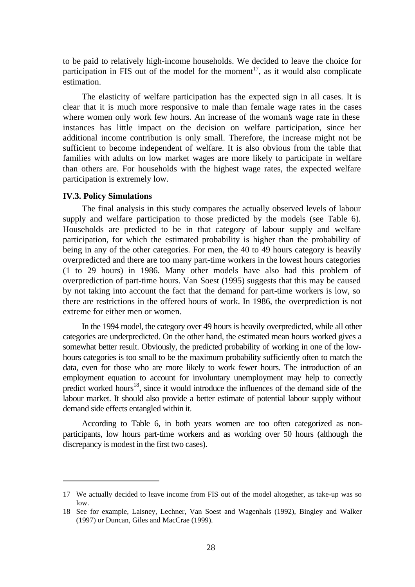to be paid to relatively high-income households. We decided to leave the choice for participation in FIS out of the model for the moment<sup>17</sup>, as it would also complicate estimation.

The elasticity of welfare participation has the expected sign in all cases. It is clear that it is much more responsive to male than female wage rates in the cases where women only work few hours. An increase of the woman's wage rate in these instances has little impact on the decision on welfare participation, since her additional income contribution is only small. Therefore, the increase might not be sufficient to become independent of welfare. It is also obvious from the table that families with adults on low market wages are more likely to participate in welfare than others are. For households with the highest wage rates, the expected welfare participation is extremely low.

### **IV.3. Policy Simulations**

 $\overline{a}$ 

The final analysis in this study compares the actually observed levels of labour supply and welfare participation to those predicted by the models (see Table 6). Households are predicted to be in that category of labour supply and welfare participation, for which the estimated probability is higher than the probability of being in any of the other categories. For men, the 40 to 49 hours category is heavily overpredicted and there are too many part-time workers in the lowest hours categories (1 to 29 hours) in 1986. Many other models have also had this problem of overprediction of part-time hours. Van Soest (1995) suggests that this may be caused by not taking into account the fact that the demand for part-time workers is low, so there are restrictions in the offered hours of work. In 1986, the overprediction is not extreme for either men or women.

In the 1994 model, the category over 49 hours is heavily overpredicted, while all other categories are underpredicted. On the other hand, the estimated mean hours worked gives a somewhat better result. Obviously, the predicted probability of working in one of the lowhours categories is too small to be the maximum probability sufficiently often to match the data, even for those who are more likely to work fewer hours. The introduction of an employment equation to account for involuntary unemployment may help to correctly predict worked hours<sup>18</sup>, since it would introduce the influences of the demand side of the labour market. It should also provide a better estimate of potential labour supply without demand side effects entangled within it.

According to Table 6, in both years women are too often categorized as nonparticipants, low hours part-time workers and as working over 50 hours (although the discrepancy is modest in the first two cases).

<sup>17</sup> We actually decided to leave income from FIS out of the model altogether, as take-up was so low.

<sup>18</sup> See for example, Laisney, Lechner, Van Soest and Wagenhals (1992), Bingley and Walker (1997) or Duncan, Giles and MacCrae (1999).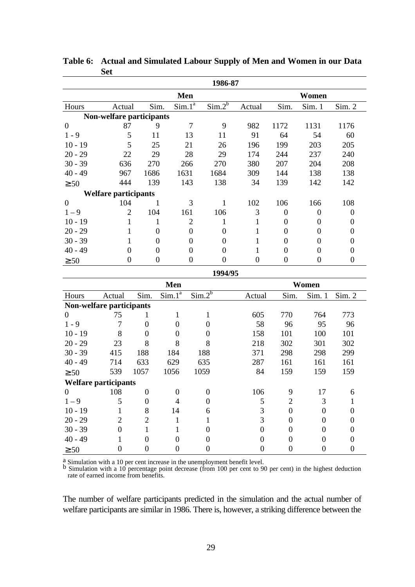|                             |                             |                  |                  |                             | 1986-87                     |                  |                  |                  |                  |  |
|-----------------------------|-----------------------------|------------------|------------------|-----------------------------|-----------------------------|------------------|------------------|------------------|------------------|--|
|                             |                             |                  | Men              |                             | Women                       |                  |                  |                  |                  |  |
| Hours                       | Actual                      |                  | Sim.             | $Sim.1^{\overline{a}}$      | $\overline{\text{Sim.2}^b}$ | Actual           | Sim.             | Sim. 1           | Sim. 2           |  |
|                             | Non-welfare participants    |                  |                  |                             |                             |                  |                  |                  |                  |  |
| $\overline{0}$              | 87                          |                  | 9                | 7                           | 9                           | 982              | 1172             | 1131             | 1176             |  |
| $1 - 9$                     | 5                           | 11               |                  | 13                          | 11                          | 91               | 64               | 54               | 60               |  |
| $10 - 19$                   | 5                           | 25               |                  | 21                          | 26                          | 196              | 199              | 203              | 205              |  |
| $20 - 29$                   | 22                          | 29               |                  | 28                          | 29                          | 174              | 244              | 237              | 240              |  |
| $30 - 39$                   | 636                         | 270              |                  | 266                         | 270                         | 380              | 207              | 204              | 208              |  |
| $40 - 49$                   | 967                         | 1686             |                  | 1631                        | 1684                        | 309              | 144              | 138              | 138              |  |
| $\geq 50$                   | 444                         | 139              |                  | 143                         | 138                         | 34               | 139              | 142              | 142              |  |
|                             | <b>Welfare participants</b> |                  |                  |                             |                             |                  |                  |                  |                  |  |
| $\boldsymbol{0}$            | 104                         |                  | $\mathbf{1}$     | 3                           | $\mathbf{1}$                | 102              | 106              | 166              | 108              |  |
| $1 - 9$                     | $\overline{2}$              | 104              |                  | 161                         | 106                         | 3                | $\theta$         | $\boldsymbol{0}$ | $\boldsymbol{0}$ |  |
| $10 - 19$                   | 1                           |                  | 1                | $\overline{2}$              | $\mathbf{1}$                | 1                | $\theta$         | $\boldsymbol{0}$ | $\boldsymbol{0}$ |  |
| $20 - 29$                   | $\mathbf{1}$                |                  | $\boldsymbol{0}$ | $\overline{0}$              | $\overline{0}$              | $\mathbf{1}$     | $\boldsymbol{0}$ | $\overline{0}$   | $\boldsymbol{0}$ |  |
| $30 - 39$                   | 1                           |                  | $\overline{0}$   | $\boldsymbol{0}$            | $\boldsymbol{0}$            | 1                | $\boldsymbol{0}$ | $\theta$         | $\boldsymbol{0}$ |  |
| $40 - 49$                   | $\boldsymbol{0}$            |                  | $\overline{0}$   | $\boldsymbol{0}$            | $\overline{0}$              | 1                | $\theta$         | $\boldsymbol{0}$ | $\boldsymbol{0}$ |  |
| $\geq 50$                   | $\boldsymbol{0}$            |                  | $\boldsymbol{0}$ | $\boldsymbol{0}$            | $\overline{0}$              | $\boldsymbol{0}$ | $\boldsymbol{0}$ | $\overline{0}$   | $\boldsymbol{0}$ |  |
|                             |                             |                  |                  |                             | 1994/95                     |                  |                  |                  |                  |  |
|                             |                             |                  | Men              |                             |                             |                  |                  | Women            |                  |  |
| Hours                       | Actual                      | Sim.             | $Sim.1^a$        | $\overline{\text{Sim.2}^b}$ |                             | Actual           | Sim.             | Sim. 1           | Sim. 2           |  |
| Non-welfare participants    |                             |                  |                  |                             |                             |                  |                  |                  |                  |  |
| $\overline{0}$              | 75                          | $\mathbf{1}$     | 1                |                             | $\mathbf{1}$                | 605              | 770              | 764              | 773              |  |
| $1 - 9$                     | 7                           | $\boldsymbol{0}$ | $\theta$         |                             | $\boldsymbol{0}$            | 58               | 96               | 95               | 96               |  |
| $10 - 19$                   | 8                           | $\boldsymbol{0}$ | $\theta$         |                             | $\boldsymbol{0}$            | 158              | 101              | 100              | 101              |  |
| $20 - 29$                   | 23                          | 8                | 8                |                             | 8                           | 218              | 302              | 301              | 302              |  |
| $30 - 39$                   | 415                         | 188              | 184              | 188                         |                             | 371              | 298              | 298              | 299              |  |
| $40 - 49$                   | 714                         | 633              | 629              | 635                         |                             | 287              | 161              | 161              | 161              |  |
| $\geq 50$                   | 539                         | 1057             | 1056             | 1059                        |                             | 84               | 159              | 159              | 159              |  |
| <b>Welfare participants</b> |                             |                  |                  |                             |                             |                  |                  |                  |                  |  |
| $\boldsymbol{0}$            | 108                         | $\overline{0}$   | $\boldsymbol{0}$ | $\boldsymbol{0}$            |                             | 106              | $\boldsymbol{9}$ | 17               | 6                |  |
| $1 - 9$                     | 5                           | $\overline{0}$   | $\overline{4}$   |                             | $\boldsymbol{0}$            | 5                | $\mathbf{2}$     | $\mathfrak{Z}$   | $\mathbf{1}$     |  |
| $10 - 19$                   | $\mathbf{1}$                | 8                | 14               |                             | 6                           | 3                | $\boldsymbol{0}$ | $\overline{0}$   | $\overline{0}$   |  |
| $20 - 29$                   | $\overline{c}$              | $\overline{c}$   | $\mathbf{1}$     |                             | $\mathbf{1}$                | 3                | $\boldsymbol{0}$ | $\overline{0}$   | $\boldsymbol{0}$ |  |
| $30 - 39$                   | $\boldsymbol{0}$            | $\mathbf{1}$     | $\mathbf{1}$     |                             | $\boldsymbol{0}$            | $\overline{0}$   | $\boldsymbol{0}$ | $\boldsymbol{0}$ | $\boldsymbol{0}$ |  |
| $40 - 49$                   | 1                           | $\boldsymbol{0}$ | $\boldsymbol{0}$ |                             | $\boldsymbol{0}$            | $\overline{0}$   | $\boldsymbol{0}$ | $\boldsymbol{0}$ | $\boldsymbol{0}$ |  |
| $\geq 50$                   | $\boldsymbol{0}$            | $\boldsymbol{0}$ | $\boldsymbol{0}$ |                             | $\boldsymbol{0}$            | $\boldsymbol{0}$ | $\boldsymbol{0}$ | $\boldsymbol{0}$ | $\boldsymbol{0}$ |  |

**Table 6: Actual and Simulated Labour Supply of Men and Women in our Data Set**

<sup>a</sup> Simulation with a 10 per cent increase in the unemployment benefit level.

b Simulation with a 10 percentage point decrease (from 100 per cent to 90 per cent) in the highest deduction rate of earned income from benefits.

The number of welfare participants predicted in the simulation and the actual number of welfare participants are similar in 1986. There is, however, a striking difference between the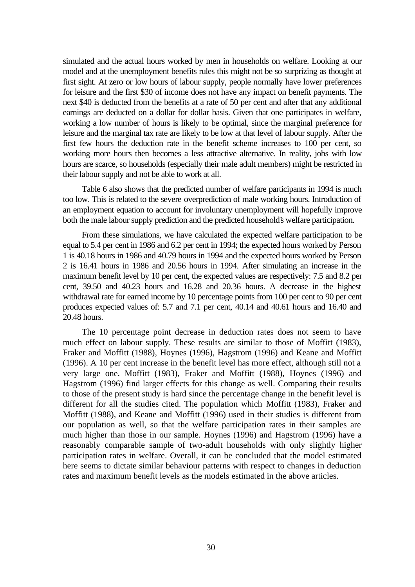simulated and the actual hours worked by men in households on welfare. Looking at our model and at the unemployment benefits rules this might not be so surprizing as thought at first sight. At zero or low hours of labour supply, people normally have lower preferences for leisure and the first \$30 of income does not have any impact on benefit payments. The next \$40 is deducted from the benefits at a rate of 50 per cent and after that any additional earnings are deducted on a dollar for dollar basis. Given that one participates in welfare, working a low number of hours is likely to be optimal, since the marginal preference for leisure and the marginal tax rate are likely to be low at that level of labour supply. After the first few hours the deduction rate in the benefit scheme increases to 100 per cent, so working more hours then becomes a less attractive alternative. In reality, jobs with low hours are scarce, so households (especially their male adult members) might be restricted in their labour supply and not be able to work at all.

Table 6 also shows that the predicted number of welfare participants in 1994 is much too low. This is related to the severe overprediction of male working hours. Introduction of an employment equation to account for involuntary unemployment will hopefully improve both the male labour supply prediction and the predicted household's welfare participation.

From these simulations, we have calculated the expected welfare participation to be equal to 5.4 per cent in 1986 and 6.2 per cent in 1994; the expected hours worked by Person 1 is 40.18 hours in 1986 and 40.79 hours in 1994 and the expected hours worked by Person 2 is 16.41 hours in 1986 and 20.56 hours in 1994. After simulating an increase in the maximum benefit level by 10 per cent, the expected values are respectively: 7.5 and 8.2 per cent, 39.50 and 40.23 hours and 16.28 and 20.36 hours. A decrease in the highest withdrawal rate for earned income by 10 percentage points from 100 per cent to 90 per cent produces expected values of: 5.7 and 7.1 per cent, 40.14 and 40.61 hours and 16.40 and 20.48 hours.

The 10 percentage point decrease in deduction rates does not seem to have much effect on labour supply. These results are similar to those of Moffitt (1983), Fraker and Moffitt (1988), Hoynes (1996), Hagstrom (1996) and Keane and Moffitt (1996). A 10 per cent increase in the benefit level has more effect, although still not a very large one. Moffitt (1983), Fraker and Moffitt (1988), Hoynes (1996) and Hagstrom (1996) find larger effects for this change as well. Comparing their results to those of the present study is hard since the percentage change in the benefit level is different for all the studies cited. The population which Moffitt (1983), Fraker and Moffitt (1988), and Keane and Moffitt (1996) used in their studies is different from our population as well, so that the welfare participation rates in their samples are much higher than those in our sample. Hoynes (1996) and Hagstrom (1996) have a reasonably comparable sample of two-adult households with only slightly higher participation rates in welfare. Overall, it can be concluded that the model estimated here seems to dictate similar behaviour patterns with respect to changes in deduction rates and maximum benefit levels as the models estimated in the above articles.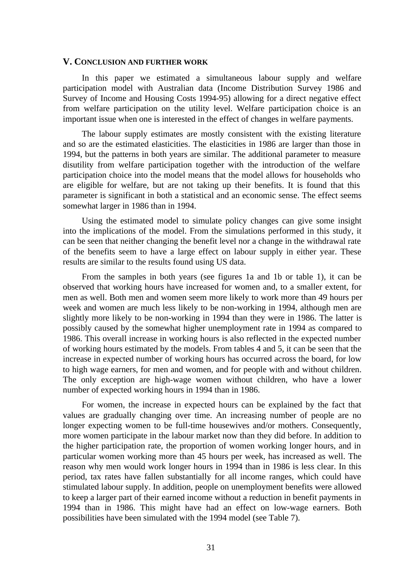### **V. CONCLUSION AND FURTHER WORK**

In this paper we estimated a simultaneous labour supply and welfare participation model with Australian data (Income Distribution Survey 1986 and Survey of Income and Housing Costs 1994-95) allowing for a direct negative effect from welfare participation on the utility level. Welfare participation choice is an important issue when one is interested in the effect of changes in welfare payments.

The labour supply estimates are mostly consistent with the existing literature and so are the estimated elasticities. The elasticities in 1986 are larger than those in 1994, but the patterns in both years are similar. The additional parameter to measure disutility from welfare participation together with the introduction of the welfare participation choice into the model means that the model allows for households who are eligible for welfare, but are not taking up their benefits. It is found that this parameter is significant in both a statistical and an economic sense. The effect seems somewhat larger in 1986 than in 1994.

Using the estimated model to simulate policy changes can give some insight into the implications of the model. From the simulations performed in this study, it can be seen that neither changing the benefit level nor a change in the withdrawal rate of the benefits seem to have a large effect on labour supply in either year. These results are similar to the results found using US data.

From the samples in both years (see figures 1a and 1b or table 1), it can be observed that working hours have increased for women and, to a smaller extent, for men as well. Both men and women seem more likely to work more than 49 hours per week and women are much less likely to be non-working in 1994, although men are slightly more likely to be non-working in 1994 than they were in 1986. The latter is possibly caused by the somewhat higher unemployment rate in 1994 as compared to 1986. This overall increase in working hours is also reflected in the expected number of working hours estimated by the models. From tables 4 and 5, it can be seen that the increase in expected number of working hours has occurred across the board, for low to high wage earners, for men and women, and for people with and without children. The only exception are high-wage women without children, who have a lower number of expected working hours in 1994 than in 1986.

For women, the increase in expected hours can be explained by the fact that values are gradually changing over time. An increasing number of people are no longer expecting women to be full-time housewives and/or mothers. Consequently, more women participate in the labour market now than they did before. In addition to the higher participation rate, the proportion of women working longer hours, and in particular women working more than 45 hours per week, has increased as well. The reason why men would work longer hours in 1994 than in 1986 is less clear. In this period, tax rates have fallen substantially for all income ranges, which could have stimulated labour supply. In addition, people on unemployment benefits were allowed to keep a larger part of their earned income without a reduction in benefit payments in 1994 than in 1986. This might have had an effect on low-wage earners. Both possibilities have been simulated with the 1994 model (see Table 7).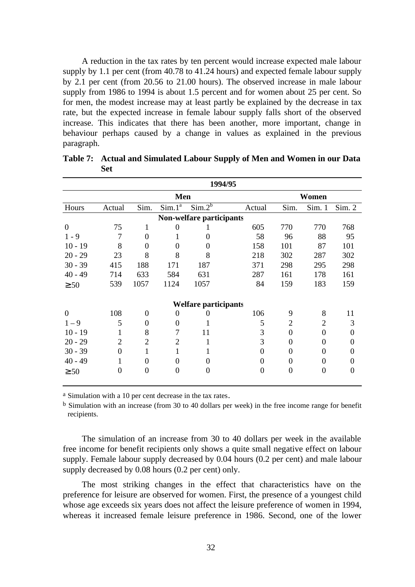A reduction in the tax rates by ten percent would increase expected male labour supply by 1.1 per cent (from 40.78 to 41.24 hours) and expected female labour supply by 2.1 per cent (from 20.56 to 21.00 hours). The observed increase in male labour supply from 1986 to 1994 is about 1.5 percent and for women about 25 per cent. So for men, the modest increase may at least partly be explained by the decrease in tax rate, but the expected increase in female labour supply falls short of the observed increase. This indicates that there has been another, more important, change in behaviour perhaps caused by a change in values as explained in the previous paragraph.

|                                 | 1994/95        |                |                        |                             |          |                |                |        |  |  |
|---------------------------------|----------------|----------------|------------------------|-----------------------------|----------|----------------|----------------|--------|--|--|
|                                 |                |                |                        | Women                       |          |                |                |        |  |  |
| Hours                           | Actual         | Sim.           | $Sim.1^{\overline{a}}$ | $Sim.2^b$                   | Actual   | Sim.           | Sim. 1         | Sim. 2 |  |  |
| <b>Non-welfare participants</b> |                |                |                        |                             |          |                |                |        |  |  |
| $\theta$                        | 75             | 1              | $\theta$               |                             | 605      | 770            | 770            | 768    |  |  |
| $1 - 9$                         | 7              | 0              | 1                      | 0                           | 58       | 96             | 88             | 95     |  |  |
| $10 - 19$                       | 8              | 0              | 0                      | 0                           | 158      | 101            | 87             | 101    |  |  |
| $20 - 29$                       | 23             | 8              | 8                      | 8                           | 218      | 302            | 287            | 302    |  |  |
| $30 - 39$                       | 415            | 188            | 171                    | 187                         | 371      | 298            | 295            | 298    |  |  |
| $40 - 49$                       | 714            | 633            | 584                    | 631                         | 287      | 161            | 178            | 161    |  |  |
| $\geq 50$                       | 539            | 1057           | 1124                   | 1057                        | 84       | 159            | 183            | 159    |  |  |
|                                 |                |                |                        | <b>Welfare participants</b> |          |                |                |        |  |  |
| $\overline{0}$                  | 108            | $\theta$       | 0                      | 0                           | 106      | 9              | 8              | 11     |  |  |
| $1 - 9$                         | 5              | 0              | $\overline{0}$         |                             | 5        | $\overline{2}$ | $\overline{2}$ | 3      |  |  |
| $10 - 19$                       | 1              | 8              | 7                      | 11                          | 3        | $\Omega$       | 0              | 0      |  |  |
| $20 - 29$                       | $\overline{2}$ | $\overline{2}$ | 2                      | 1                           | 3        | 0              | 0              | 0      |  |  |
| $30 - 39$                       | $\theta$       | 1              | 1                      |                             | $\theta$ | 0              | $\Omega$       | 0      |  |  |
| $40 - 49$                       | 1              | 0              | 0                      | 0                           | $\theta$ | 0              | 0              | 0      |  |  |
| $\geq 50$                       | $\overline{0}$ | 0              | 0                      | 0                           | $\theta$ | $\overline{0}$ | 0              | 0      |  |  |

**Table 7: Actual and Simulated Labour Supply of Men and Women in our Data Set**

<sup>a</sup> Simulation with a 10 per cent decrease in the tax rates.

b Simulation with an increase (from 30 to 40 dollars per week) in the free income range for benefit recipients.

The simulation of an increase from 30 to 40 dollars per week in the available free income for benefit recipients only shows a quite small negative effect on labour supply. Female labour supply decreased by 0.04 hours (0.2 per cent) and male labour supply decreased by 0.08 hours (0.2 per cent) only.

The most striking changes in the effect that characteristics have on the preference for leisure are observed for women. First, the presence of a youngest child whose age exceeds six years does not affect the leisure preference of women in 1994, whereas it increased female leisure preference in 1986. Second, one of the lower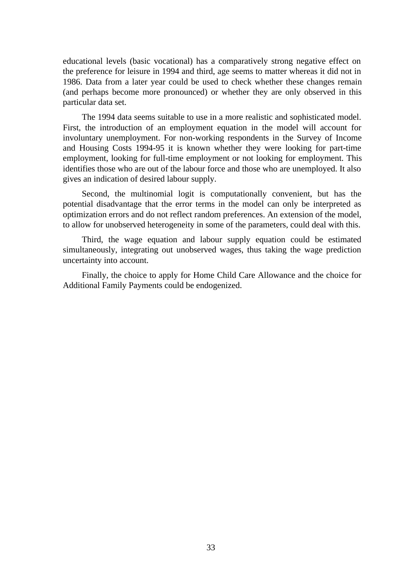educational levels (basic vocational) has a comparatively strong negative effect on the preference for leisure in 1994 and third, age seems to matter whereas it did not in 1986. Data from a later year could be used to check whether these changes remain (and perhaps become more pronounced) or whether they are only observed in this particular data set.

The 1994 data seems suitable to use in a more realistic and sophisticated model. First, the introduction of an employment equation in the model will account for involuntary unemployment. For non-working respondents in the Survey of Income and Housing Costs 1994-95 it is known whether they were looking for part-time employment, looking for full-time employment or not looking for employment. This identifies those who are out of the labour force and those who are unemployed. It also gives an indication of desired labour supply.

Second, the multinomial logit is computationally convenient, but has the potential disadvantage that the error terms in the model can only be interpreted as optimization errors and do not reflect random preferences. An extension of the model, to allow for unobserved heterogeneity in some of the parameters, could deal with this.

Third, the wage equation and labour supply equation could be estimated simultaneously, integrating out unobserved wages, thus taking the wage prediction uncertainty into account.

Finally, the choice to apply for Home Child Care Allowance and the choice for Additional Family Payments could be endogenized.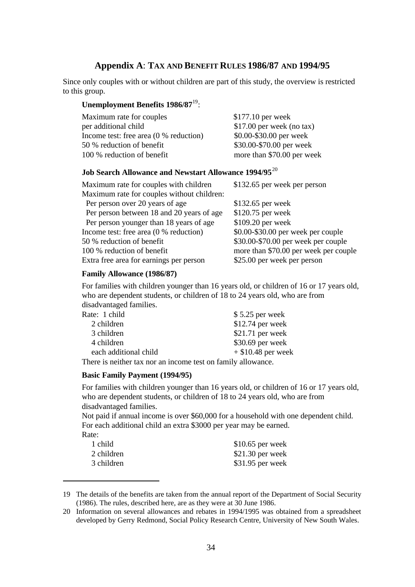### **Appendix A**: **TAX AND BENEFIT RULES 1986/87 AND 1994/95**

Since only couples with or without children are part of this study, the overview is restricted to this group.

### **Unemployment Benefits 1986/87**19:

| Maximum rate for couples                 | $$177.10$ per week         |
|------------------------------------------|----------------------------|
| per additional child                     | $$17.00$ per week (no tax) |
| Income test: free area $(0 %$ reduction) | \$0.00-\$30.00 per week    |
| 50 % reduction of benefit                | \$30.00-\$70.00 per week   |
| 100 % reduction of benefit               | more than \$70.00 per week |

### **Job Search Allowance and Newstart Allowance 1994/95**<sup>20</sup>

| Maximum rate for couples with children     | \$132.65 per week per person          |
|--------------------------------------------|---------------------------------------|
| Maximum rate for couples without children: |                                       |
| Per person over 20 years of age            | $$132.65$ per week                    |
| Per person between 18 and 20 years of age  | \$120.75 per week                     |
| Per person younger than 18 years of age    | \$109.20 per week                     |
| Income test: free area $(0 %$ reduction)   | \$0.00-\$30.00 per week per couple    |
| 50 % reduction of benefit                  | \$30.00-\$70.00 per week per couple   |
| 100 % reduction of benefit                 | more than \$70.00 per week per couple |
| Extra free area for earnings per person    | \$25.00 per week per person           |

### **Family Allowance (1986/87)**

For families with children younger than 16 years old, or children of 16 or 17 years old, who are dependent students, or children of 18 to 24 years old, who are from disadvantaged families.

| Rate: 1 child         | $$5.25$ per week     |
|-----------------------|----------------------|
| 2 children            | $$12.74$ per week    |
| 3 children            | $$21.71$ per week    |
| 4 children            | \$30.69 per week     |
| each additional child | $+$ \$10.48 per week |
|                       |                      |

There is neither tax nor an income test on family allowance.

### **Basic Family Payment (1994/95)**

 $\overline{a}$ 

For families with children younger than 16 years old, or children of 16 or 17 years old, who are dependent students, or children of 18 to 24 years old, who are from disadvantaged families.

Not paid if annual income is over \$60,000 for a household with one dependent child. For each additional child an extra \$3000 per year may be earned. Rate:

| 1 child    | $$10.65$ per week |
|------------|-------------------|
| 2 children | $$21.30$ per week |
| 3 children | $$31.95$ per week |

<sup>19</sup> The details of the benefits are taken from the annual report of the Department of Social Security (1986). The rules, described here, are as they were at 30 June 1986.

<sup>20</sup> Information on several allowances and rebates in 1994/1995 was obtained from a spreadsheet developed by Gerry Redmond, Social Policy Research Centre, University of New South Wales.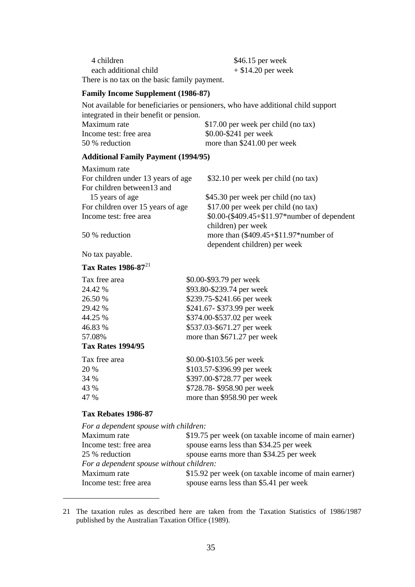4 children \$46.15 per week each additional child  $+ $14.20$  per week There is no tax on the basic family payment.

### **Family Income Supplement (1986-87)**

Not available for beneficiaries or pensioners, who have additional child support integrated in their benefit or pension.

| Maximum rate           | \$17.00 per week per child (no tax) |
|------------------------|-------------------------------------|
| Income test: free area | $$0.00-\$241$ per week              |
| 50 % reduction         | more than \$241.00 per week         |

### **Additional Family Payment (1994/95)**

| Maximum rate                       |                                              |
|------------------------------------|----------------------------------------------|
| For children under 13 years of age | \$32.10 per week per child (no tax)          |
| For children between13 and         |                                              |
| 15 years of age                    | \$45.30 per week per child (no tax)          |
| For children over 15 years of age  | \$17.00 per week per child (no tax)          |
| Income test: free area             | \$0.00-(\$409.45+\$11.97*number of dependent |
|                                    | children) per week                           |
| 50 % reduction                     | more than $(\$409.45+\$11.97*$ number of     |
|                                    | dependent children) per week                 |

No tax payable.

### **Tax Rates 1986-87**<sup>21</sup>

| \$0.00-\$93.79 per week     |
|-----------------------------|
| \$93.80-\$239.74 per week   |
| \$239.75-\$241.66 per week  |
| \$241.67-\$373.99 per week  |
| \$374.00-\$537.02 per week  |
| \$537.03-\$671.27 per week  |
| more than \$671.27 per week |
|                             |
| \$0.00-\$103.56 per week    |
| \$103.57-\$396.99 per week  |
|                             |

| ∠∪ /∪ | $\varphi$ 10 <i>3.31-<math>\varphi</math>370.77</i> put wuth |
|-------|--------------------------------------------------------------|
| 34 %  | \$397.00-\$728.77 per week                                   |
| 43 %  | \$728.78-\$958.90 per week                                   |
| 47 %  | more than \$958.90 per week                                  |

### **Tax Rebates 1986-87**

| For a dependent spouse with children:    |                                                     |
|------------------------------------------|-----------------------------------------------------|
| Maximum rate                             | \$19.75 per week (on taxable income of main earner) |
| Income test: free area                   | spouse earns less than \$34.25 per week             |
| 25 % reduction                           | spouse earns more than \$34.25 per week             |
| For a dependent spouse without children: |                                                     |
| Maximum rate                             | \$15.92 per week (on taxable income of main earner) |
| Income test: free area                   | spouse earns less than \$5.41 per week              |

21 The taxation rules as described here are taken from the Taxation Statistics of 1986/1987 published by the Australian Taxation Office (1989).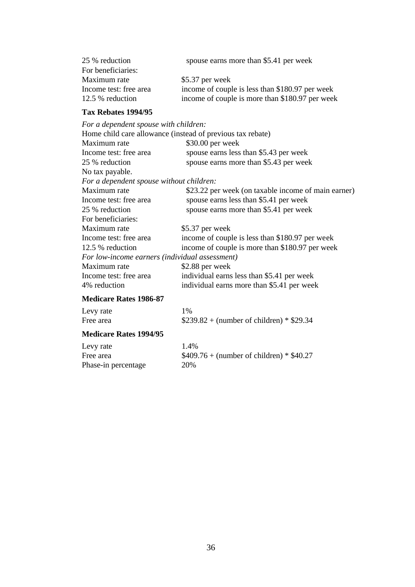| spouse earns more than \$5.41 per week          |
|-------------------------------------------------|
|                                                 |
| $$5.37$ per week                                |
| income of couple is less than \$180.97 per week |
| income of couple is more than \$180.97 per week |
|                                                 |

### **Tax Rebates 1994/95**

| For a dependent spouse with children:          |                                                            |
|------------------------------------------------|------------------------------------------------------------|
|                                                | Home child care allowance (instead of previous tax rebate) |
| Maximum rate                                   | $$30.00$ per week                                          |
| Income test: free area                         | spouse earns less than \$5.43 per week                     |
| 25 % reduction                                 | spouse earns more than \$5.43 per week                     |
| No tax payable.                                |                                                            |
| For a dependent spouse without children:       |                                                            |
| Maximum rate                                   | \$23.22 per week (on taxable income of main earner)        |
| Income test: free area                         | spouse earns less than \$5.41 per week                     |
| 25 % reduction                                 | spouse earns more than \$5.41 per week                     |
| For beneficiaries:                             |                                                            |
| Maximum rate                                   | \$5.37 per week                                            |
| Income test: free area                         | income of couple is less than \$180.97 per week            |
| 12.5 % reduction                               | income of couple is more than \$180.97 per week            |
| For low-income earners (individual assessment) |                                                            |
| Maximum rate                                   | \$2.88 per week                                            |
| Income test: free area                         | individual earns less than \$5.41 per week                 |
| 4\% reduction                                  | individual earns more than \$5.41 per week                 |
| <b>Medicare Rates 1986-87</b>                  |                                                            |

| Levy rate | 1%                                        |
|-----------|-------------------------------------------|
| Free area | $$239.82 + (number of children) * $29.34$ |

## **Medicare Rates 1994/95**

| Levy rate           | 1.4%                                      |
|---------------------|-------------------------------------------|
| Free area           | $$409.76 + (number of children) * $40.27$ |
| Phase-in percentage | 20%                                       |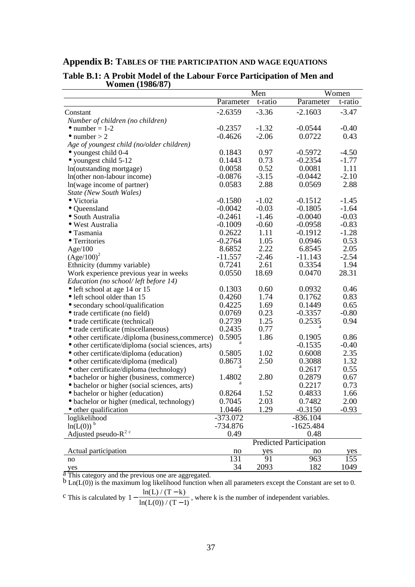## **Appendix B: TABLES OF THE PARTICIPATION AND WAGE EQUATIONS**

| Parameter<br>t-ratio<br>Parameter<br>t-ratio<br>$-2.6359$<br>$-3.36$<br>$-2.1603$<br>$-3.47$<br>Constant<br>Number of children (no children)<br>$-0.2357$<br>$-1.32$<br>$-0.0544$<br>$-0.40$<br>$\bullet$ number = 1-2<br>$-2.06$<br>0.43<br>$-0.4626$<br>0.0722<br>$\bullet$ number > 2<br>Age of youngest child (no/older children)<br>0.97<br>0.1843<br>$-0.5972$<br>$-4.50$<br>• youngest child 0-4<br>0.73<br>$-1.77$<br>0.1443<br>$-0.2354$<br>$\bullet$ youngest child 5-12<br>0.52<br>0.0058<br>0.0081<br>1.11<br>In(outstanding mortgage)<br>$-0.0876$<br>$-3.15$<br>$-0.0442$<br>$-2.10$<br>In(other non-labour income)<br>0.0583<br>2.88<br>0.0569<br>2.88<br>In(wage income of partner)<br>State (New South Wales)<br>$-0.1580$<br>$-1.02$<br>$-0.1512$<br>$-1.45$<br>• Victoria<br>$-0.03$<br>$-0.0042$<br>$-0.1805$<br>$-1.64$<br>• Queensland<br>$-0.2461$<br>$-1.46$<br>$-0.0040$<br>$-0.03$<br>• South Australia<br>$-0.1009$<br>$-0.60$<br>$-0.0958$<br>$-0.83$<br>· West Australia<br>0.2622<br>$-1.28$<br>1.11<br>$-0.1912$<br>$\bullet$ Tasmania<br>$-0.2764$<br>0.53<br>1.05<br>0.0946<br>• Territories<br>2.22<br>2.05<br>8.6852<br>6.8545<br>Age/100<br>$(Age/100)^2$<br>$-2.46$<br>$-2.54$<br>$-11.557$<br>$-11.143$<br>0.7241<br>1.94<br>2.61<br>0.3354<br>Ethnicity (dummy variable)<br>28.31<br>0.0550<br>18.69<br>0.0470<br>Work experience previous year in weeks<br>Education (no school/left before 14)<br>0.1303<br>0.60<br>0.0932<br>0.46<br>• left school at age 14 or 15<br>0.83<br>0.4260<br>1.74<br>0.1762<br>• left school older than 15<br>0.4225<br>1.69<br>0.1449<br>0.65<br>• secondary school/qualification<br>0.23<br>$-0.80$<br>0.0769<br>$-0.3357$<br>• trade certificate (no field)<br>1.25<br>0.2535<br>0.94<br>0.2739<br>• trade certificate (technical)<br>0.77<br>0.2435<br>• trade certificate (miscellaneous)<br>0.5905<br>1.86<br>0.1905<br>0.86<br>• other certificate./diploma (business,commerce)<br>$-0.40$<br>$-0.1535$<br>• other certificate/diploma (social sciences, arts)<br>2.35<br>0.5805<br>1.02<br>0.6008<br>• other certificate/diploma (education)<br>1.32<br>0.8673<br>2.50<br>0.3088<br>• other certificate/diploma (medical)<br>0.55<br>0.2617<br>• other certificate/diploma (technology)<br>1.4802<br>2.80<br>0.2879<br>0.67<br>• bachelor or higher (business, commerce)<br>0.2217<br>0.73<br>• bachelor or higher (social sciences, arts)<br>1.52<br>0.8264<br>0.4833<br>1.66<br>• bachelor or higher (education)<br>2.00<br>0.7045<br>2.03<br>0.7482<br>· bachelor or higher (medical, technology)<br>1.0446<br>$-0.3150$<br>• other qualification<br>1.29<br>$-0.93$<br>loglikelihood<br>$-373.072$<br>$-836.104$<br>$ln(L(0))$ <sup>b</sup><br>$-734.876$<br>$-1625.484$<br>Adjusted pseudo- $R^2$ <sup>c</sup><br>0.49<br>0.48<br><b>Predicted Participation</b><br>Actual participation<br>no<br>yes<br>no<br>$rac{yes}{155}$<br>131<br>91<br>963<br>no |     | Men |      |     | Women |  |
|--------------------------------------------------------------------------------------------------------------------------------------------------------------------------------------------------------------------------------------------------------------------------------------------------------------------------------------------------------------------------------------------------------------------------------------------------------------------------------------------------------------------------------------------------------------------------------------------------------------------------------------------------------------------------------------------------------------------------------------------------------------------------------------------------------------------------------------------------------------------------------------------------------------------------------------------------------------------------------------------------------------------------------------------------------------------------------------------------------------------------------------------------------------------------------------------------------------------------------------------------------------------------------------------------------------------------------------------------------------------------------------------------------------------------------------------------------------------------------------------------------------------------------------------------------------------------------------------------------------------------------------------------------------------------------------------------------------------------------------------------------------------------------------------------------------------------------------------------------------------------------------------------------------------------------------------------------------------------------------------------------------------------------------------------------------------------------------------------------------------------------------------------------------------------------------------------------------------------------------------------------------------------------------------------------------------------------------------------------------------------------------------------------------------------------------------------------------------------------------------------------------------------------------------------------------------------------------------------------------------------------------------------------------------------------------------------------------------------------------------------------------------------------------------------------------------------------------------------------------------------------------------------------------------------------------------|-----|-----|------|-----|-------|--|
|                                                                                                                                                                                                                                                                                                                                                                                                                                                                                                                                                                                                                                                                                                                                                                                                                                                                                                                                                                                                                                                                                                                                                                                                                                                                                                                                                                                                                                                                                                                                                                                                                                                                                                                                                                                                                                                                                                                                                                                                                                                                                                                                                                                                                                                                                                                                                                                                                                                                                                                                                                                                                                                                                                                                                                                                                                                                                                                                            |     |     |      |     |       |  |
|                                                                                                                                                                                                                                                                                                                                                                                                                                                                                                                                                                                                                                                                                                                                                                                                                                                                                                                                                                                                                                                                                                                                                                                                                                                                                                                                                                                                                                                                                                                                                                                                                                                                                                                                                                                                                                                                                                                                                                                                                                                                                                                                                                                                                                                                                                                                                                                                                                                                                                                                                                                                                                                                                                                                                                                                                                                                                                                                            |     |     |      |     |       |  |
|                                                                                                                                                                                                                                                                                                                                                                                                                                                                                                                                                                                                                                                                                                                                                                                                                                                                                                                                                                                                                                                                                                                                                                                                                                                                                                                                                                                                                                                                                                                                                                                                                                                                                                                                                                                                                                                                                                                                                                                                                                                                                                                                                                                                                                                                                                                                                                                                                                                                                                                                                                                                                                                                                                                                                                                                                                                                                                                                            |     |     |      |     |       |  |
|                                                                                                                                                                                                                                                                                                                                                                                                                                                                                                                                                                                                                                                                                                                                                                                                                                                                                                                                                                                                                                                                                                                                                                                                                                                                                                                                                                                                                                                                                                                                                                                                                                                                                                                                                                                                                                                                                                                                                                                                                                                                                                                                                                                                                                                                                                                                                                                                                                                                                                                                                                                                                                                                                                                                                                                                                                                                                                                                            |     |     |      |     |       |  |
|                                                                                                                                                                                                                                                                                                                                                                                                                                                                                                                                                                                                                                                                                                                                                                                                                                                                                                                                                                                                                                                                                                                                                                                                                                                                                                                                                                                                                                                                                                                                                                                                                                                                                                                                                                                                                                                                                                                                                                                                                                                                                                                                                                                                                                                                                                                                                                                                                                                                                                                                                                                                                                                                                                                                                                                                                                                                                                                                            |     |     |      |     |       |  |
|                                                                                                                                                                                                                                                                                                                                                                                                                                                                                                                                                                                                                                                                                                                                                                                                                                                                                                                                                                                                                                                                                                                                                                                                                                                                                                                                                                                                                                                                                                                                                                                                                                                                                                                                                                                                                                                                                                                                                                                                                                                                                                                                                                                                                                                                                                                                                                                                                                                                                                                                                                                                                                                                                                                                                                                                                                                                                                                                            |     |     |      |     |       |  |
|                                                                                                                                                                                                                                                                                                                                                                                                                                                                                                                                                                                                                                                                                                                                                                                                                                                                                                                                                                                                                                                                                                                                                                                                                                                                                                                                                                                                                                                                                                                                                                                                                                                                                                                                                                                                                                                                                                                                                                                                                                                                                                                                                                                                                                                                                                                                                                                                                                                                                                                                                                                                                                                                                                                                                                                                                                                                                                                                            |     |     |      |     |       |  |
|                                                                                                                                                                                                                                                                                                                                                                                                                                                                                                                                                                                                                                                                                                                                                                                                                                                                                                                                                                                                                                                                                                                                                                                                                                                                                                                                                                                                                                                                                                                                                                                                                                                                                                                                                                                                                                                                                                                                                                                                                                                                                                                                                                                                                                                                                                                                                                                                                                                                                                                                                                                                                                                                                                                                                                                                                                                                                                                                            |     |     |      |     |       |  |
|                                                                                                                                                                                                                                                                                                                                                                                                                                                                                                                                                                                                                                                                                                                                                                                                                                                                                                                                                                                                                                                                                                                                                                                                                                                                                                                                                                                                                                                                                                                                                                                                                                                                                                                                                                                                                                                                                                                                                                                                                                                                                                                                                                                                                                                                                                                                                                                                                                                                                                                                                                                                                                                                                                                                                                                                                                                                                                                                            |     |     |      |     |       |  |
|                                                                                                                                                                                                                                                                                                                                                                                                                                                                                                                                                                                                                                                                                                                                                                                                                                                                                                                                                                                                                                                                                                                                                                                                                                                                                                                                                                                                                                                                                                                                                                                                                                                                                                                                                                                                                                                                                                                                                                                                                                                                                                                                                                                                                                                                                                                                                                                                                                                                                                                                                                                                                                                                                                                                                                                                                                                                                                                                            |     |     |      |     |       |  |
|                                                                                                                                                                                                                                                                                                                                                                                                                                                                                                                                                                                                                                                                                                                                                                                                                                                                                                                                                                                                                                                                                                                                                                                                                                                                                                                                                                                                                                                                                                                                                                                                                                                                                                                                                                                                                                                                                                                                                                                                                                                                                                                                                                                                                                                                                                                                                                                                                                                                                                                                                                                                                                                                                                                                                                                                                                                                                                                                            |     |     |      |     |       |  |
|                                                                                                                                                                                                                                                                                                                                                                                                                                                                                                                                                                                                                                                                                                                                                                                                                                                                                                                                                                                                                                                                                                                                                                                                                                                                                                                                                                                                                                                                                                                                                                                                                                                                                                                                                                                                                                                                                                                                                                                                                                                                                                                                                                                                                                                                                                                                                                                                                                                                                                                                                                                                                                                                                                                                                                                                                                                                                                                                            |     |     |      |     |       |  |
|                                                                                                                                                                                                                                                                                                                                                                                                                                                                                                                                                                                                                                                                                                                                                                                                                                                                                                                                                                                                                                                                                                                                                                                                                                                                                                                                                                                                                                                                                                                                                                                                                                                                                                                                                                                                                                                                                                                                                                                                                                                                                                                                                                                                                                                                                                                                                                                                                                                                                                                                                                                                                                                                                                                                                                                                                                                                                                                                            |     |     |      |     |       |  |
|                                                                                                                                                                                                                                                                                                                                                                                                                                                                                                                                                                                                                                                                                                                                                                                                                                                                                                                                                                                                                                                                                                                                                                                                                                                                                                                                                                                                                                                                                                                                                                                                                                                                                                                                                                                                                                                                                                                                                                                                                                                                                                                                                                                                                                                                                                                                                                                                                                                                                                                                                                                                                                                                                                                                                                                                                                                                                                                                            |     |     |      |     |       |  |
|                                                                                                                                                                                                                                                                                                                                                                                                                                                                                                                                                                                                                                                                                                                                                                                                                                                                                                                                                                                                                                                                                                                                                                                                                                                                                                                                                                                                                                                                                                                                                                                                                                                                                                                                                                                                                                                                                                                                                                                                                                                                                                                                                                                                                                                                                                                                                                                                                                                                                                                                                                                                                                                                                                                                                                                                                                                                                                                                            |     |     |      |     |       |  |
|                                                                                                                                                                                                                                                                                                                                                                                                                                                                                                                                                                                                                                                                                                                                                                                                                                                                                                                                                                                                                                                                                                                                                                                                                                                                                                                                                                                                                                                                                                                                                                                                                                                                                                                                                                                                                                                                                                                                                                                                                                                                                                                                                                                                                                                                                                                                                                                                                                                                                                                                                                                                                                                                                                                                                                                                                                                                                                                                            |     |     |      |     |       |  |
|                                                                                                                                                                                                                                                                                                                                                                                                                                                                                                                                                                                                                                                                                                                                                                                                                                                                                                                                                                                                                                                                                                                                                                                                                                                                                                                                                                                                                                                                                                                                                                                                                                                                                                                                                                                                                                                                                                                                                                                                                                                                                                                                                                                                                                                                                                                                                                                                                                                                                                                                                                                                                                                                                                                                                                                                                                                                                                                                            |     |     |      |     |       |  |
|                                                                                                                                                                                                                                                                                                                                                                                                                                                                                                                                                                                                                                                                                                                                                                                                                                                                                                                                                                                                                                                                                                                                                                                                                                                                                                                                                                                                                                                                                                                                                                                                                                                                                                                                                                                                                                                                                                                                                                                                                                                                                                                                                                                                                                                                                                                                                                                                                                                                                                                                                                                                                                                                                                                                                                                                                                                                                                                                            |     |     |      |     |       |  |
|                                                                                                                                                                                                                                                                                                                                                                                                                                                                                                                                                                                                                                                                                                                                                                                                                                                                                                                                                                                                                                                                                                                                                                                                                                                                                                                                                                                                                                                                                                                                                                                                                                                                                                                                                                                                                                                                                                                                                                                                                                                                                                                                                                                                                                                                                                                                                                                                                                                                                                                                                                                                                                                                                                                                                                                                                                                                                                                                            |     |     |      |     |       |  |
|                                                                                                                                                                                                                                                                                                                                                                                                                                                                                                                                                                                                                                                                                                                                                                                                                                                                                                                                                                                                                                                                                                                                                                                                                                                                                                                                                                                                                                                                                                                                                                                                                                                                                                                                                                                                                                                                                                                                                                                                                                                                                                                                                                                                                                                                                                                                                                                                                                                                                                                                                                                                                                                                                                                                                                                                                                                                                                                                            |     |     |      |     |       |  |
|                                                                                                                                                                                                                                                                                                                                                                                                                                                                                                                                                                                                                                                                                                                                                                                                                                                                                                                                                                                                                                                                                                                                                                                                                                                                                                                                                                                                                                                                                                                                                                                                                                                                                                                                                                                                                                                                                                                                                                                                                                                                                                                                                                                                                                                                                                                                                                                                                                                                                                                                                                                                                                                                                                                                                                                                                                                                                                                                            |     |     |      |     |       |  |
|                                                                                                                                                                                                                                                                                                                                                                                                                                                                                                                                                                                                                                                                                                                                                                                                                                                                                                                                                                                                                                                                                                                                                                                                                                                                                                                                                                                                                                                                                                                                                                                                                                                                                                                                                                                                                                                                                                                                                                                                                                                                                                                                                                                                                                                                                                                                                                                                                                                                                                                                                                                                                                                                                                                                                                                                                                                                                                                                            |     |     |      |     |       |  |
|                                                                                                                                                                                                                                                                                                                                                                                                                                                                                                                                                                                                                                                                                                                                                                                                                                                                                                                                                                                                                                                                                                                                                                                                                                                                                                                                                                                                                                                                                                                                                                                                                                                                                                                                                                                                                                                                                                                                                                                                                                                                                                                                                                                                                                                                                                                                                                                                                                                                                                                                                                                                                                                                                                                                                                                                                                                                                                                                            |     |     |      |     |       |  |
|                                                                                                                                                                                                                                                                                                                                                                                                                                                                                                                                                                                                                                                                                                                                                                                                                                                                                                                                                                                                                                                                                                                                                                                                                                                                                                                                                                                                                                                                                                                                                                                                                                                                                                                                                                                                                                                                                                                                                                                                                                                                                                                                                                                                                                                                                                                                                                                                                                                                                                                                                                                                                                                                                                                                                                                                                                                                                                                                            |     |     |      |     |       |  |
|                                                                                                                                                                                                                                                                                                                                                                                                                                                                                                                                                                                                                                                                                                                                                                                                                                                                                                                                                                                                                                                                                                                                                                                                                                                                                                                                                                                                                                                                                                                                                                                                                                                                                                                                                                                                                                                                                                                                                                                                                                                                                                                                                                                                                                                                                                                                                                                                                                                                                                                                                                                                                                                                                                                                                                                                                                                                                                                                            |     |     |      |     |       |  |
|                                                                                                                                                                                                                                                                                                                                                                                                                                                                                                                                                                                                                                                                                                                                                                                                                                                                                                                                                                                                                                                                                                                                                                                                                                                                                                                                                                                                                                                                                                                                                                                                                                                                                                                                                                                                                                                                                                                                                                                                                                                                                                                                                                                                                                                                                                                                                                                                                                                                                                                                                                                                                                                                                                                                                                                                                                                                                                                                            |     |     |      |     |       |  |
|                                                                                                                                                                                                                                                                                                                                                                                                                                                                                                                                                                                                                                                                                                                                                                                                                                                                                                                                                                                                                                                                                                                                                                                                                                                                                                                                                                                                                                                                                                                                                                                                                                                                                                                                                                                                                                                                                                                                                                                                                                                                                                                                                                                                                                                                                                                                                                                                                                                                                                                                                                                                                                                                                                                                                                                                                                                                                                                                            |     |     |      |     |       |  |
|                                                                                                                                                                                                                                                                                                                                                                                                                                                                                                                                                                                                                                                                                                                                                                                                                                                                                                                                                                                                                                                                                                                                                                                                                                                                                                                                                                                                                                                                                                                                                                                                                                                                                                                                                                                                                                                                                                                                                                                                                                                                                                                                                                                                                                                                                                                                                                                                                                                                                                                                                                                                                                                                                                                                                                                                                                                                                                                                            |     |     |      |     |       |  |
|                                                                                                                                                                                                                                                                                                                                                                                                                                                                                                                                                                                                                                                                                                                                                                                                                                                                                                                                                                                                                                                                                                                                                                                                                                                                                                                                                                                                                                                                                                                                                                                                                                                                                                                                                                                                                                                                                                                                                                                                                                                                                                                                                                                                                                                                                                                                                                                                                                                                                                                                                                                                                                                                                                                                                                                                                                                                                                                                            |     |     |      |     |       |  |
|                                                                                                                                                                                                                                                                                                                                                                                                                                                                                                                                                                                                                                                                                                                                                                                                                                                                                                                                                                                                                                                                                                                                                                                                                                                                                                                                                                                                                                                                                                                                                                                                                                                                                                                                                                                                                                                                                                                                                                                                                                                                                                                                                                                                                                                                                                                                                                                                                                                                                                                                                                                                                                                                                                                                                                                                                                                                                                                                            |     |     |      |     |       |  |
|                                                                                                                                                                                                                                                                                                                                                                                                                                                                                                                                                                                                                                                                                                                                                                                                                                                                                                                                                                                                                                                                                                                                                                                                                                                                                                                                                                                                                                                                                                                                                                                                                                                                                                                                                                                                                                                                                                                                                                                                                                                                                                                                                                                                                                                                                                                                                                                                                                                                                                                                                                                                                                                                                                                                                                                                                                                                                                                                            |     |     |      |     |       |  |
|                                                                                                                                                                                                                                                                                                                                                                                                                                                                                                                                                                                                                                                                                                                                                                                                                                                                                                                                                                                                                                                                                                                                                                                                                                                                                                                                                                                                                                                                                                                                                                                                                                                                                                                                                                                                                                                                                                                                                                                                                                                                                                                                                                                                                                                                                                                                                                                                                                                                                                                                                                                                                                                                                                                                                                                                                                                                                                                                            |     |     |      |     |       |  |
|                                                                                                                                                                                                                                                                                                                                                                                                                                                                                                                                                                                                                                                                                                                                                                                                                                                                                                                                                                                                                                                                                                                                                                                                                                                                                                                                                                                                                                                                                                                                                                                                                                                                                                                                                                                                                                                                                                                                                                                                                                                                                                                                                                                                                                                                                                                                                                                                                                                                                                                                                                                                                                                                                                                                                                                                                                                                                                                                            |     |     |      |     |       |  |
|                                                                                                                                                                                                                                                                                                                                                                                                                                                                                                                                                                                                                                                                                                                                                                                                                                                                                                                                                                                                                                                                                                                                                                                                                                                                                                                                                                                                                                                                                                                                                                                                                                                                                                                                                                                                                                                                                                                                                                                                                                                                                                                                                                                                                                                                                                                                                                                                                                                                                                                                                                                                                                                                                                                                                                                                                                                                                                                                            |     |     |      |     |       |  |
|                                                                                                                                                                                                                                                                                                                                                                                                                                                                                                                                                                                                                                                                                                                                                                                                                                                                                                                                                                                                                                                                                                                                                                                                                                                                                                                                                                                                                                                                                                                                                                                                                                                                                                                                                                                                                                                                                                                                                                                                                                                                                                                                                                                                                                                                                                                                                                                                                                                                                                                                                                                                                                                                                                                                                                                                                                                                                                                                            |     |     |      |     |       |  |
|                                                                                                                                                                                                                                                                                                                                                                                                                                                                                                                                                                                                                                                                                                                                                                                                                                                                                                                                                                                                                                                                                                                                                                                                                                                                                                                                                                                                                                                                                                                                                                                                                                                                                                                                                                                                                                                                                                                                                                                                                                                                                                                                                                                                                                                                                                                                                                                                                                                                                                                                                                                                                                                                                                                                                                                                                                                                                                                                            |     |     |      |     |       |  |
|                                                                                                                                                                                                                                                                                                                                                                                                                                                                                                                                                                                                                                                                                                                                                                                                                                                                                                                                                                                                                                                                                                                                                                                                                                                                                                                                                                                                                                                                                                                                                                                                                                                                                                                                                                                                                                                                                                                                                                                                                                                                                                                                                                                                                                                                                                                                                                                                                                                                                                                                                                                                                                                                                                                                                                                                                                                                                                                                            |     |     |      |     |       |  |
|                                                                                                                                                                                                                                                                                                                                                                                                                                                                                                                                                                                                                                                                                                                                                                                                                                                                                                                                                                                                                                                                                                                                                                                                                                                                                                                                                                                                                                                                                                                                                                                                                                                                                                                                                                                                                                                                                                                                                                                                                                                                                                                                                                                                                                                                                                                                                                                                                                                                                                                                                                                                                                                                                                                                                                                                                                                                                                                                            |     |     |      |     |       |  |
|                                                                                                                                                                                                                                                                                                                                                                                                                                                                                                                                                                                                                                                                                                                                                                                                                                                                                                                                                                                                                                                                                                                                                                                                                                                                                                                                                                                                                                                                                                                                                                                                                                                                                                                                                                                                                                                                                                                                                                                                                                                                                                                                                                                                                                                                                                                                                                                                                                                                                                                                                                                                                                                                                                                                                                                                                                                                                                                                            |     |     |      |     |       |  |
|                                                                                                                                                                                                                                                                                                                                                                                                                                                                                                                                                                                                                                                                                                                                                                                                                                                                                                                                                                                                                                                                                                                                                                                                                                                                                                                                                                                                                                                                                                                                                                                                                                                                                                                                                                                                                                                                                                                                                                                                                                                                                                                                                                                                                                                                                                                                                                                                                                                                                                                                                                                                                                                                                                                                                                                                                                                                                                                                            |     |     |      |     |       |  |
|                                                                                                                                                                                                                                                                                                                                                                                                                                                                                                                                                                                                                                                                                                                                                                                                                                                                                                                                                                                                                                                                                                                                                                                                                                                                                                                                                                                                                                                                                                                                                                                                                                                                                                                                                                                                                                                                                                                                                                                                                                                                                                                                                                                                                                                                                                                                                                                                                                                                                                                                                                                                                                                                                                                                                                                                                                                                                                                                            |     |     |      |     |       |  |
|                                                                                                                                                                                                                                                                                                                                                                                                                                                                                                                                                                                                                                                                                                                                                                                                                                                                                                                                                                                                                                                                                                                                                                                                                                                                                                                                                                                                                                                                                                                                                                                                                                                                                                                                                                                                                                                                                                                                                                                                                                                                                                                                                                                                                                                                                                                                                                                                                                                                                                                                                                                                                                                                                                                                                                                                                                                                                                                                            |     |     |      |     |       |  |
|                                                                                                                                                                                                                                                                                                                                                                                                                                                                                                                                                                                                                                                                                                                                                                                                                                                                                                                                                                                                                                                                                                                                                                                                                                                                                                                                                                                                                                                                                                                                                                                                                                                                                                                                                                                                                                                                                                                                                                                                                                                                                                                                                                                                                                                                                                                                                                                                                                                                                                                                                                                                                                                                                                                                                                                                                                                                                                                                            |     |     |      |     |       |  |
|                                                                                                                                                                                                                                                                                                                                                                                                                                                                                                                                                                                                                                                                                                                                                                                                                                                                                                                                                                                                                                                                                                                                                                                                                                                                                                                                                                                                                                                                                                                                                                                                                                                                                                                                                                                                                                                                                                                                                                                                                                                                                                                                                                                                                                                                                                                                                                                                                                                                                                                                                                                                                                                                                                                                                                                                                                                                                                                                            |     |     |      |     |       |  |
|                                                                                                                                                                                                                                                                                                                                                                                                                                                                                                                                                                                                                                                                                                                                                                                                                                                                                                                                                                                                                                                                                                                                                                                                                                                                                                                                                                                                                                                                                                                                                                                                                                                                                                                                                                                                                                                                                                                                                                                                                                                                                                                                                                                                                                                                                                                                                                                                                                                                                                                                                                                                                                                                                                                                                                                                                                                                                                                                            | yes | 34  | 2093 | 182 | 1049  |  |

### **Table B.1: A Probit Model of the Labour Force Participation of Men and Women (1986/87)** l.

a This category and the previous one are aggregated.

 $b$  Ln( $L(0)$ ) is the maximum log likelihood function when all parameters except the Constant are set to 0.  $ln(L) / (T - k)$ L)  $/(T - k)$ 

c This is calculated by  $1 - \frac{\ln(L) / (T - k)}{\ln(L(0)) / (T - 1)}$  $ln(L(0)) / (T-1)$  $\frac{(\sqrt{2})^n (\sqrt{2}-1)}{L(0))}$ , where k is the number of independent variables.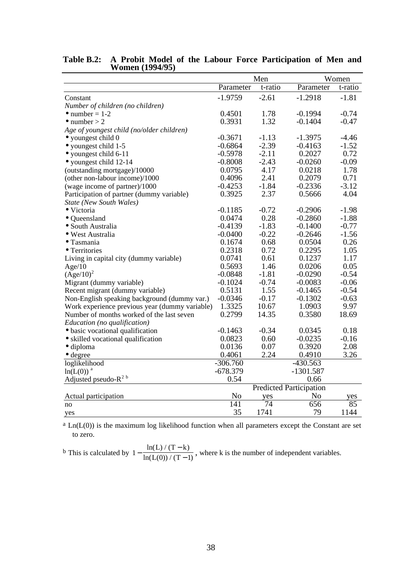|                                                | Men              |         |                                | Women   |  |
|------------------------------------------------|------------------|---------|--------------------------------|---------|--|
|                                                | Parameter        | t-ratio | Parameter                      | t-ratio |  |
| Constant                                       | $-1.9759$        | $-2.61$ | $-1.2918$                      | $-1.81$ |  |
| Number of children (no children)               |                  |         |                                |         |  |
| $\bullet$ number = 1-2                         | 0.4501           | 1.78    | $-0.1994$                      | $-0.74$ |  |
| $\bullet$ number > 2                           | 0.3931           | 1.32    | $-0.1404$                      | $-0.47$ |  |
| Age of youngest child (no/older children)      |                  |         |                                |         |  |
| $\bullet$ youngest child 0                     | $-0.3671$        | $-1.13$ | $-1.3975$                      | $-4.46$ |  |
| • youngest child 1-5                           | $-0.6864$        | $-2.39$ | $-0.4163$                      | $-1.52$ |  |
| • youngest child 6-11                          | $-0.5978$        | $-2.11$ | 0.2027                         | 0.72    |  |
| • youngest child 12-14                         | $-0.8008$        | $-2.43$ | $-0.0260$                      | $-0.09$ |  |
| (outstanding mortgage)/10000                   | 0.0795           | 4.17    | 0.0218                         | 1.78    |  |
| (other non-labour income)/1000                 | 0.4096           | 2.41    | 0.2079                         | 0.71    |  |
| (wage income of partner)/1000                  | $-0.4253$        | $-1.84$ | $-0.2336$                      | $-3.12$ |  |
| Participation of partner (dummy variable)      | 0.3925           | 2.37    | 0.5666                         | 4.04    |  |
| <b>State (New South Wales)</b>                 |                  |         |                                |         |  |
| • Victoria                                     | $-0.1185$        | $-0.72$ | $-0.2906$                      | $-1.98$ |  |
| · Queensland                                   | 0.0474           | 0.28    | $-0.2860$                      | $-1.88$ |  |
| · South Australia                              | $-0.4139$        | $-1.83$ | $-0.1400$                      | $-0.77$ |  |
| • West Australia                               | $-0.0400$        | $-0.22$ | $-0.2646$                      | $-1.56$ |  |
| • Tasmania                                     | 0.1674           | 0.68    | 0.0504                         | 0.26    |  |
| • Territories                                  | 0.2318           | 0.72    | 0.2295                         | 1.05    |  |
| Living in capital city (dummy variable)        | 0.0741           | 0.61    | 0.1237                         | 1.17    |  |
| Age/10                                         | 0.5693           | 1.46    | 0.0206                         | 0.05    |  |
| $(Age/10)^2$                                   | $-0.0848$        | $-1.81$ | $-0.0290$                      | $-0.54$ |  |
| Migrant (dummy variable)                       | $-0.1024$        | $-0.74$ | $-0.0083$                      | $-0.06$ |  |
| Recent migrant (dummy variable)                | 0.5131           | 1.55    | $-0.1465$                      | $-0.54$ |  |
| Non-English speaking background (dummy var.)   | $-0.0346$        | $-0.17$ | $-0.1302$                      | $-0.63$ |  |
| Work experience previous year (dummy variable) | 1.3325           | 10.67   | 1.0903                         | 9.97    |  |
| Number of months worked of the last seven      | 0.2799           | 14.35   | 0.3580                         | 18.69   |  |
| Education (no qualification)                   |                  |         |                                |         |  |
| · basic vocational qualification               | $-0.1463$        | $-0.34$ | 0.0345                         | 0.18    |  |
| • skilled vocational qualification             | 0.0823           | 0.60    | $-0.0235$                      | $-0.16$ |  |
| $\bullet$ diploma                              | 0.0136           | 0.07    | 0.3920                         | 2.08    |  |
| $\bullet$ degree                               | 0.4061           | 2.24    | 0.4910                         | 3.26    |  |
| loglikelihood                                  | $-306.760$       |         | $-430.563$                     |         |  |
| $ln(L(0))$ <sup>a</sup>                        | $-678.379$       |         | $-1301.587$                    |         |  |
| Adjusted pseudo-R <sup>2</sup> b               | 0.54             |         | 0.66                           |         |  |
|                                                |                  |         | <b>Predicted Participation</b> |         |  |
| Actual participation                           | No               | yes     | No                             | yes     |  |
| no                                             | $\overline{14}1$ | 74      | 656                            | 85      |  |
| yes                                            | 35               | 1741    | 79                             | 1144    |  |

### **Table B.2: A Probit Model of the Labour Force Participation of Men and Women (1994/95)** l,

 $a$  Ln( $L(0)$ ) is the maximum log likelihood function when all parameters except the Constant are set to zero.

<sup>b</sup> This is calculated by  $1 - \frac{\ln(L) / (T - k)}{\ln(L(0)) / (T - 1)}$  $ln(L) / (T - k)$  $ln(L(0)) / (T-1)$  $\frac{L(L) / (T - k)}{L(0) / (T - 1)}$ , where k is the number of independent variables.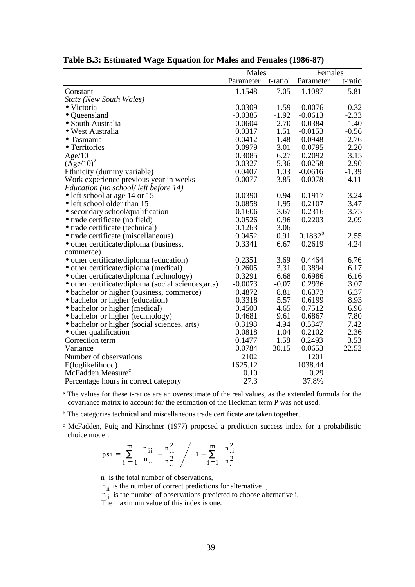|                                                     | Males     |                         | Females      |         |
|-----------------------------------------------------|-----------|-------------------------|--------------|---------|
|                                                     | Parameter | $t$ -ratio <sup>a</sup> | Parameter    | t-ratio |
| Constant                                            | 1.1548    | 7.05                    | 1.1087       | 5.81    |
| <b>State (New South Wales)</b>                      |           |                         |              |         |
| • Victoria                                          | $-0.0309$ | $-1.59$                 | 0.0076       | 0.32    |
| • Queensland                                        | $-0.0385$ | $-1.92$                 | $-0.0613$    | $-2.33$ |
| • South Australia                                   | $-0.0604$ | $-2.70$                 | 0.0384       | 1.40    |
| · West Australia                                    | 0.0317    | 1.51                    | $-0.0153$    | $-0.56$ |
| • Tasmania                                          | $-0.0412$ | $-1.48$                 | $-0.0948$    | $-2.76$ |
| • Territories                                       | 0.0979    | 3.01                    | 0.0795       | 2.20    |
| Age/10                                              | 0.3085    | 6.27                    | 0.2092       | 3.15    |
| $(Age/10)^2$                                        | $-0.0327$ | $-5.36$                 | $-0.0258$    | $-2.90$ |
| Ethnicity (dummy variable)                          | 0.0407    | 1.03                    | $-0.0616$    | $-1.39$ |
| Work experience previous year in weeks              | 0.0077    | 3.85                    | 0.0078       | 4.11    |
| Education (no school/left before 14)                |           |                         |              |         |
| · left school at age 14 or 15                       | 0.0390    | 0.94                    | 0.1917       | 3.24    |
| • left school older than 15                         | 0.0858    | 1.95                    | 0.2107       | 3.47    |
| • secondary school/qualification                    | 0.1606    | 3.67                    | 0.2316       | 3.75    |
| • trade certificate (no field)                      | 0.0526    | 0.96                    | 0.2203       | 2.09    |
| • trade certificate (technical)                     | 0.1263    | 3.06                    |              |         |
| • trade certificate (miscellaneous)                 | 0.0452    | 0.91                    | $0.1832^{b}$ | 2.55    |
| • other certificate/diploma (business,              | 0.3341    | 6.67                    | 0.2619       | 4.24    |
| commerce)                                           |           |                         |              |         |
| • other certificate/diploma (education)             | 0.2351    | 3.69                    | 0.4464       | 6.76    |
| • other certificate/diploma (medical)               | 0.2605    | 3.31                    | 0.3894       | 6.17    |
| • other certificate/diploma (technology)            | 0.3291    | 6.68                    | 0.6986       | 6.16    |
| • other certificate/diploma (social sciences, arts) | $-0.0073$ | $-0.07$                 | 0.2936       | 3.07    |
| • bachelor or higher (business, commerce)           | 0.4872    | 8.81                    | 0.6373       | 6.37    |
| • bachelor or higher (education)                    | 0.3318    | 5.57                    | 0.6199       | 8.93    |
| • bachelor or higher (medical)                      | 0.4500    | 4.65                    | 0.7512       | 6.96    |
| • bachelor or higher (technology)                   | 0.4681    | 9.61                    | 0.6867       | 7.80    |
| • bachelor or higher (social sciences, arts)        | 0.3198    | 4.94                    | 0.5347       | 7.42    |
| • other qualification                               | 0.0818    | 1.04                    | 0.2102       | 2.36    |
| Correction term                                     | 0.1477    | 1.58                    | 0.2493       | 3.53    |
| Variance                                            | 0.0784    | 30.15                   | 0.0653       | 22.52   |
| Number of observations                              | 2102      |                         | 1201         |         |
| E(loglikelihood)                                    | 1625.12   |                         | 1038.44      |         |
| McFadden Measure <sup>c</sup>                       | 0.10      |                         | 0.29         |         |
| Percentage hours in correct category                | 27.3      |                         | 37.8%        |         |

### **Table B.3: Estimated Wage Equation for Males and Females (1986-87)**

a The values for these t-ratios are an overestimate of the real values, as the extended formula for the covariance matrix to account for the estimation of the Heckman term P was not used.

<sup>b</sup> The categories technical and miscellaneous trade certificate are taken together.

c McFadden, Puig and Kirschner (1977) proposed a prediction success index for a probabilistic choice model:  $\overline{a}$ 

$$
psi = \sum_{i=1}^{m} \left[ \frac{n_{ii}}{n} - \frac{n_{.i}^2}{n_{.i}^2} \right] / \left[ 1 - \sum_{i=1}^{m} \left( \frac{n_{.i}^2}{n_{.i}^2} \right) \right]
$$

n is the total number of observations,

 $n_{ii}$  is the number of correct predictions for alternative i,

 $n_i$  is the number of observations predicted to choose alternative i.

The maximum value of this index is one.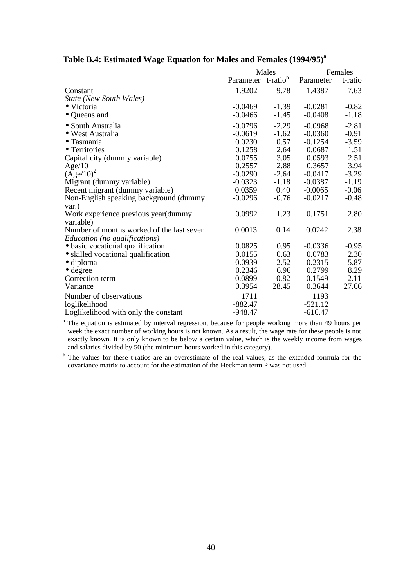|                                                  |           | Males                |           | Females |  |
|--------------------------------------------------|-----------|----------------------|-----------|---------|--|
|                                                  | Parameter | t-ratio <sup>b</sup> | Parameter | t-ratio |  |
| Constant                                         | 1.9202    | 9.78                 | 1.4387    | 7.63    |  |
| <b>State (New South Wales)</b>                   |           |                      |           |         |  |
| • Victoria                                       | $-0.0469$ | $-1.39$              | $-0.0281$ | $-0.82$ |  |
| • Queensland                                     | $-0.0466$ | $-1.45$              | $-0.0408$ | $-1.18$ |  |
| • South Australia                                | $-0.0796$ | $-2.29$              | $-0.0968$ | $-2.81$ |  |
| • West Australia                                 | $-0.0619$ | $-1.62$              | $-0.0360$ | $-0.91$ |  |
| $\bullet$ Tasmania                               | 0.0230    | 0.57                 | $-0.1254$ | $-3.59$ |  |
| • Territories                                    | 0.1258    | 2.64                 | 0.0687    | 1.51    |  |
| Capital city (dummy variable)                    | 0.0755    | 3.05                 | 0.0593    | 2.51    |  |
| Age/10                                           | 0.2557    | 2.88                 | 0.3657    | 3.94    |  |
| $(Age/10)^2$                                     | $-0.0290$ | $-2.64$              | $-0.0417$ | $-3.29$ |  |
| Migrant (dummy variable)                         | $-0.0323$ | $-1.18$              | $-0.0387$ | $-1.19$ |  |
| Recent migrant (dummy variable)                  | 0.0359    | 0.40                 | $-0.0065$ | $-0.06$ |  |
| Non-English speaking background (dummy<br>var.)  | $-0.0296$ | $-0.76$              | $-0.0217$ | $-0.48$ |  |
| Work experience previous year(dummy<br>variable) | 0.0992    | 1.23                 | 0.1751    | 2.80    |  |
| Number of months worked of the last seven        | 0.0013    | 0.14                 | 0.0242    | 2.38    |  |
| Education (no qualifications)                    |           |                      |           |         |  |
| • basic vocational qualification                 | 0.0825    | 0.95                 | $-0.0336$ | $-0.95$ |  |
| • skilled vocational qualification               | 0.0155    | 0.63                 | 0.0783    | 2.30    |  |
| $\bullet$ diploma                                | 0.0939    | 2.52                 | 0.2315    | 5.87    |  |
| $\bullet$ degree                                 | 0.2346    | 6.96                 | 0.2799    | 8.29    |  |
| Correction term                                  | $-0.0899$ | $-0.82$              | 0.1549    | 2.11    |  |
| Variance                                         | 0.3954    | 28.45                | 0.3644    | 27.66   |  |
| Number of observations                           | 1711      |                      | 1193      |         |  |
| loglikelihood                                    | $-882.47$ |                      | $-521.12$ |         |  |
| Loglikelihood with only the constant             | $-948.47$ |                      | $-616.47$ |         |  |

# **Table B.4: Estimated Wage Equation for Males and Females (1994/95)<sup>a</sup>**

<sup>a</sup> The equation is estimated by interval regression, because for people working more than 49 hours per week the exact number of working hours is not known. As a result, the wage rate for these people is not exactly known. It is only known to be below a certain value, which is the weekly income from wages and salaries divided by 50 (the minimum hours worked in this category).

<sup>b</sup> The values for these t-ratios are an overestimate of the real values, as the extended formula for the covariance matrix to account for the estimation of the Heckman term P was not used.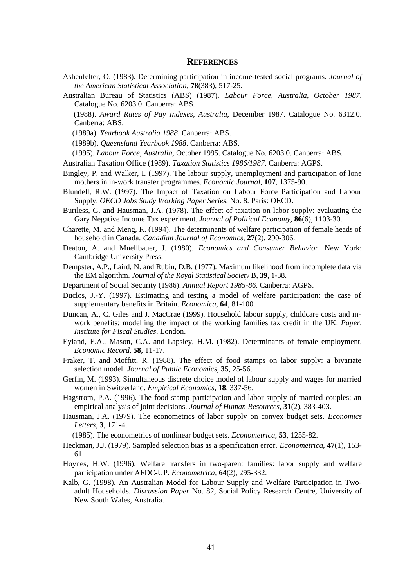### **REFERENCES**

- Ashenfelter, O. (1983). Determining participation in income-tested social programs. *Journal of the American Statistical Association*, **78**(383), 517-25.
- Australian Bureau of Statistics (ABS) (1987). *Labour Force, Australia, October 1987*. Catalogue No. 6203.0. Canberra: ABS.
- (1988). *Award Rates of Pay Indexes, Australia*, December 1987. Catalogue No. 6312.0. Canberra: ABS.
- (1989a). *Yearbook Australia 1988*. Canberra: ABS.
- (1989b). *Queensland Yearbook 1988*. Canberra: ABS.
- (1995). *Labour Force, Australia*, October 1995. Catalogue No. 6203.0. Canberra: ABS.
- Australian Taxation Office (1989). *Taxation Statistics 1986/1987*. Canberra: AGPS.
- Bingley, P. and Walker, I. (1997). The labour supply, unemployment and participation of lone mothers in in-work transfer programmes. *Economic Journal*, **107**, 1375-90.
- Blundell, R.W. (1997). The Impact of Taxation on Labour Force Participation and Labour Supply. *OECD Jobs Study Working Paper Series*, No. 8. Paris: OECD.
- Burtless, G. and Hausman, J.A. (1978). The effect of taxation on labor supply: evaluating the Gary Negative Income Tax experiment. *Journal of Political Economy*, **86**(6), 1103-30.
- Charette, M. and Meng, R. (1994). The determinants of welfare participation of female heads of household in Canada. *Canadian Journal of Economics*, **27**(2), 290-306.
- Deaton, A. and Muellbauer, J. (1980). *Economics and Consumer Behavior*. New York: Cambridge University Press.
- Dempster, A.P., Laird, N. and Rubin, D.B. (1977). Maximum likelihood from incomplete data via the EM algorithm. *Journal of the Royal Statistical Society* B, **39**, 1-38.
- Department of Social Security (1986). *Annual Report 1985-86*. Canberra: AGPS.
- Duclos, J.-Y. (1997). Estimating and testing a model of welfare participation: the case of supplementary benefits in Britain. *Economica*, **64**, 81-100.
- Duncan, A., C. Giles and J. MacCrae (1999). Household labour supply, childcare costs and inwork benefits: modelling the impact of the working families tax credit in the UK. *Paper, Institute for Fiscal Studies*, London.
- Eyland, E.A., Mason, C.A. and Lapsley, H.M. (1982). Determinants of female employment. *Economic Record*, **58**, 11-17.
- Fraker, T. and Moffitt, R. (1988). The effect of food stamps on labor supply: a bivariate selection model. *Journal of Public Economics*, **35**, 25-56.
- Gerfin, M. (1993). Simultaneous discrete choice model of labour supply and wages for married women in Switzerland. *Empirical Economics*, **18**, 337-56.
- Hagstrom, P.A. (1996). The food stamp participation and labor supply of married couples; an empirical analysis of joint decisions. *Journal of Human Resources*, **31**(2), 383-403.
- Hausman, J.A. (1979). The econometrics of labor supply on convex budget sets. *Economics Letters*, **3**, 171-4.
- (1985). The econometrics of nonlinear budget sets. *Econometrica*, **53**, 1255-82.
- Heckman, J.J. (1979). Sampled selection bias as a specification error. *Econometrica*, **47**(1), 153- 61.
- Hoynes, H.W. (1996). Welfare transfers in two-parent families: labor supply and welfare participation under AFDC-UP. *Econometrica*, **64**(2), 295-332.
- Kalb, G. (1998). An Australian Model for Labour Supply and Welfare Participation in Twoadult Households. *Discussion Paper* No. 82, Social Policy Research Centre, University of New South Wales, Australia.